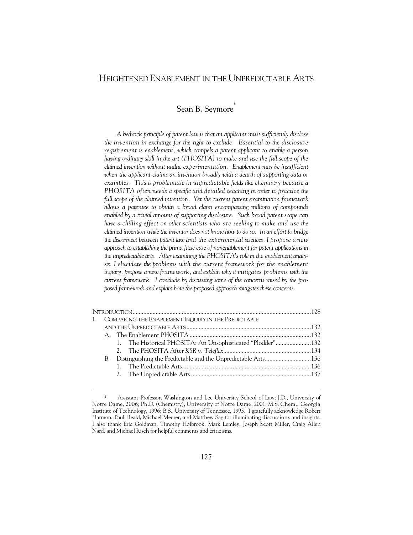# HEIGHTENED ENABLEMENT IN THE UNPREDICTABLE ARTS

Sean B. Seymore\*

*A bedrock principle of patent law is that an applicant must sufficiently disclose the invention in exchange for the right to exclude. Essential to the disclosure requirement is enablement, which compels a patent applicant to enable a person having ordinary skill in the art (PHOSITA) to make and use the full scope of the claimed invention without undue experimentation. Enablement may be insufficient*  when the applicant claims an invention broadly with a dearth of supporting data or *examples. This is problematic in unpredictable fields like chemistry because a PHOSITA often needs a specific and detailed teaching in order to practice the full scope of the claimed invention. Yet the current patent examination framework allows a patentee to obtain a broad claim encompassing millions of compounds enabled by a trivial amount of supporting disclosure. Such broad patent scope can*  have a chilling effect on other scientists who are seeking to make and use the *claimed invention while the inventor does not know how to do so. In an effort to bridge the disconnect between patent law and the experimental sciences, I propose a new approach to establishing the prima facie case of nonenablement for patent applications in the unpredictable arts. After examining the PHOSITA's role in the enablement analysis, I elucidate the problems with the current framework for the enablement inquiry, propose a new framework, and explain why it mitigates problems with the current framework. I conclude by discussing some of the concerns raised by the proposed framework and explain how the proposed approach mitigates these concerns.* 

|  | I. COMPARING THE ENABLEMENT INQUIRY IN THE PREDICTABLE |                                                            |  |  |  |
|--|--------------------------------------------------------|------------------------------------------------------------|--|--|--|
|  |                                                        |                                                            |  |  |  |
|  |                                                        |                                                            |  |  |  |
|  |                                                        | 1. The Historical PHOSITA: An Unsophisticated "Plodder"132 |  |  |  |
|  |                                                        |                                                            |  |  |  |
|  |                                                        |                                                            |  |  |  |
|  |                                                        |                                                            |  |  |  |
|  |                                                        |                                                            |  |  |  |
|  |                                                        |                                                            |  |  |  |

Assistant Professor, Washington and Lee University School of Law; J.D., University of Notre Dame, 2006; Ph.D. (Chemistry), University of Notre Dame, 2001; M.S. Chem., Georgia Institute of Technology, 1996; B.S., University of Tennessee, 1993. I gratefully acknowledge Robert Harmon, Paul Heald, Michael Meurer, and Matthew Sag for illuminating discussions and insights. I also thank Eric Goldman, Timothy Holbrook, Mark Lemley, Joseph Scott Miller, Craig Allen Nard, and Michael Risch for helpful comments and criticisms.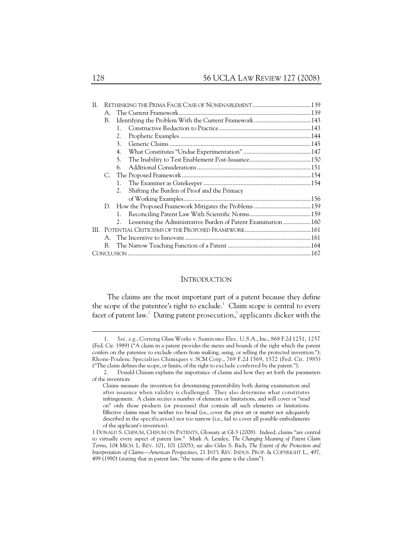| H. |              |    |                                                               |  |
|----|--------------|----|---------------------------------------------------------------|--|
|    | $\mathsf{A}$ |    |                                                               |  |
|    | В.           |    |                                                               |  |
|    |              | 1. |                                                               |  |
|    |              | 2. |                                                               |  |
|    |              | 3. |                                                               |  |
|    |              | 4. |                                                               |  |
|    |              | 5. |                                                               |  |
|    |              | 6. |                                                               |  |
|    | C.           |    |                                                               |  |
|    |              | 1. |                                                               |  |
|    |              | 2. | Shifting the Burden of Proof and the Primacy                  |  |
|    |              |    |                                                               |  |
|    |              |    |                                                               |  |
|    |              |    |                                                               |  |
|    |              | 2. | Lessening the Administrative Burden of Patent Examination 160 |  |
|    |              |    |                                                               |  |
|    |              |    |                                                               |  |
|    |              |    |                                                               |  |
|    |              |    |                                                               |  |

#### **INTRODUCTION**

The claims are the most important part of a patent because they define the scope of the patentee's right to exclude. $1$  Claim scope is central to every facet of patent law.<sup>2</sup> During patent prosecution,<sup>3</sup> applicants dicker with the

 <sup>1.</sup> *See, e.g.*, Corning Glass Works v. Sumitomo Elec. U.S.A., Inc., 868 F.2d 1251, 1257 (Fed. Cir. 1989) ("A claim in a patent provides the metes and bounds of the right which the patent confers on the patentee to exclude others from making, using, or selling the protected invention."); Rhone-Poulenc Specialties Chimiques v. SCM Corp., 769 F.2d 1569, 1572 (Fed. Cir. 1985) ("The claim defines the scope, or limits, of the right to exclude conferred by the patent.").

 <sup>2.</sup> Donald Chisum explains the importance of claims and how they set forth the parameters of the invention:

Claims measure the invention for determining patentability both during examination and after issuance when validity is challenged. They also determine what constitutes infringement. A claim recites a number of elements or limitations, and will cover or "read on" only those products (or processes) that contain all such elements or limitations. Effective claims must be neither too broad (i.e., cover the prior art or matter not adequately described in the specification) nor too narrow (i.e., fail to cover all possible embodiments of the applicant's invention).

<sup>1</sup> DONALD S. CHISUM, CHISUM ON PATENTS, Glossary at Gl-3 (2008). Indeed, claims "are central to virtually every aspect of patent law." Mark A. Lemley, *The Changing Meaning of Patent Claim Terms*, 104 MICH. L. REV. 101, 101 (2005); *see also* Giles S. Rich, *The Extent of the Protection and Interpretation of Claims—American Perspectives*, 21 INT'L REV. INDUS. PROP. & COPYRIGHT L., 497, 499 (1990) (stating that in patent law, "the name of the game is the claim").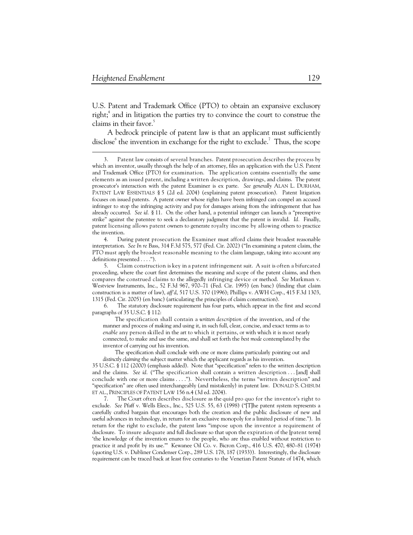-

U.S. Patent and Trademark Office (PTO) to obtain an expansive exclusory right;<sup>4</sup> and in litigation the parties try to convince the court to construe the claims in their favor.<sup>5</sup>

A bedrock principle of patent law is that an applicant must sufficiently disclose $\textdegree$  the invention in exchange for the right to exclude.<sup>7</sup> Thus, the scope

 6. The statutory disclosure requirement has four parts, which appear in the first and second paragraphs of 35 U.S.C. § 112:

The specification shall contain a *written description* of the invention, and of the manner and process of making and using it, in such full, clear, concise, and exact terms as to *enable* any person skilled in the art to which it pertains, or with which it is most nearly connected, to make and use the same, and shall set forth the *best mode* contemplated by the inventor of carrying out his invention.

The specification shall conclude with one or more claims particularly pointing out and *distinctly claiming* the subject matter which the applicant regards as his invention.

35 U.S.C. § 112 (2000) (emphasis added). Note that "specification" refers to the written description and the claims. *See id.* ("The specification shall contain a written description . . . [and] shall conclude with one or more claims . . . ."). Nevertheless, the terms "written description" and "specification" are often used interchangeably (and mistakenly) in patent law. DONALD S. CHISUM ET AL., PRINCIPLES OF PATENT LAW 156 n.4 (3d ed. 2004).

 7. The Court often describes disclosure as the quid pro quo for the inventor's right to exclude. *See* Pfaff v. Wells Elecs., Inc., 525 U.S. 55, 63 (1998) ("[T]he patent system represents a carefully crafted bargain that encourages both the creation and the public disclosure of new and useful advances in technology, in return for an exclusive monopoly for a limited period of time."). In return for the right to exclude, the patent laws "impose upon the inventor a requirement of disclosure. To insure adequate and full disclosure so that upon the expiration of the [patent term] 'the knowledge of the invention enures to the people, who are thus enabled without restriction to practice it and profit by its use.'" Kewanee Oil Co. v. Bicron Corp., 416 U.S. 470, 480–81 (1974) (quoting U.S. v. Dubliner Condenser Corp., 289 U.S. 178, 187 (1933)). Interestingly, the disclosure requirement can be traced back at least five centuries to the Venetian Patent Statute of 1474, which

 <sup>3.</sup> Patent law consists of several branches. Patent prosecution describes the process by which an inventor, usually through the help of an attorney, files an application with the U.S. Patent and Trademark Office (PTO) for examination. The application contains essentially the same elements as an issued patent, including a written description, drawings, and claims. The patent prosecutor's interaction with the patent Examiner is ex parte. *See generally* ALAN L. DURHAM, PATENT LAW ESSENTIALS § 5 (2d ed. 2004) (explaining patent prosecution). Patent litigation focuses on issued patents. A patent owner whose rights have been infringed can compel an accused infringer to stop the infringing activity and pay for damages arising from the infringement that has already occurred. *See id.* § 11. On the other hand, a potential infringer can launch a "preemptive strike" against the patentee to seek a declaratory judgment that the patent is invalid. *Id.* Finally, patent licensing allows patent owners to generate royalty income by allowing others to practice the invention.

 <sup>4.</sup> During patent prosecution the Examiner must afford claims their broadest reasonable interpretation. *See In re* Bass, 314 F.3d 575, 577 (Fed. Cir. 2002) ("In examining a patent claim, the PTO must apply the broadest reasonable meaning to the claim language, taking into account any definitions presented . . . .").

 <sup>5.</sup> Claim construction is key in a patent infringement suit. A suit is often a bifurcated proceeding, where the court first determines the meaning and scope of the patent claims, and then compares the construed claims to the allegedly infringing device or method. *See* Markman v. Westview Instruments, Inc., 52 F.3d 967, 970–71 (Fed. Cir. 1995) (en banc) (finding that claim construction is a matter of law), *aff'd*, 517 U.S. 370 (1996); Phillips v. AWH Corp., 415 F.3d 1303, 1315 (Fed. Cir. 2005) (en banc) (articulating the principles of claim construction).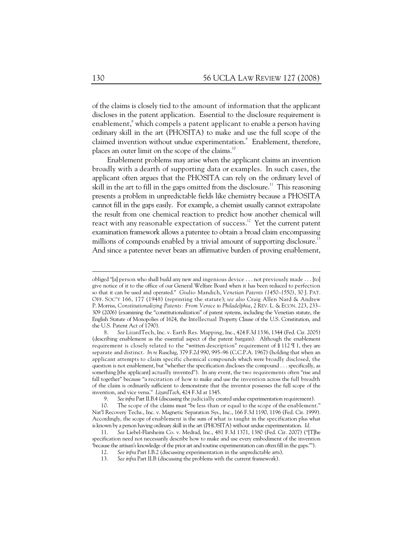of the claims is closely tied to the amount of information that the applicant discloses in the patent application. Essential to the disclosure requirement is enablement,<sup>8</sup> which compels a patent applicant to enable a person having ordinary skill in the art (PHOSITA) to make and use the full scope of the claimed invention without undue experimentation.<sup>9</sup> Enablement, therefore, places an outer limit on the scope of the claims.<sup>10</sup>

Enablement problems may arise when the applicant claims an invention broadly with a dearth of supporting data or examples. In such cases, the applicant often argues that the PHOSITA can rely on the ordinary level of skill in the art to fill in the gaps omitted from the disclosure.<sup>11</sup> This reasoning presents a problem in unpredictable fields like chemistry because a PHOSITA cannot fill in the gaps easily. For example, a chemist usually cannot extrapolate the result from one chemical reaction to predict how another chemical will react with any reasonable expectation of success.<sup>12</sup> Yet the current patent examination framework allows a patentee to obtain a broad claim encompassing millions of compounds enabled by a trivial amount of supporting disclosure.<sup>13</sup> And since a patentee never bears an affirmative burden of proving enablement,

obliged "[a] person who shall build any new and ingenious device . . . not previously made . . . [to] give notice of it to the office of our General Welfare Board when it has been reduced to perfection so that it can be used and operated." Giulio Mandich, *Venetian Patents (1450–1550)*, 30 J. PAT. OFF. SOC'Y 166, 177 (1948) (reprinting the statute); *see also* Craig Allen Nard & Andrew P. Morriss, *Constitutionalizing Patents: From Venice to Philadelphia*, 2 REV. L. & ECON. 223, 233– 309 (2006) (examining the "constitutionalization" of patent systems, including the Venetian statute, the English Statute of Monopolies of 1624, the Intellectual Property Clause of the U.S. Constitution, and the U.S. Patent Act of 1790).

 <sup>8.</sup> *See* LizardTech, Inc. v. Earth Res. Mapping, Inc., 424 F.3d 1336, 1344 (Fed. Cir. 2005) (describing enablement as the essential aspect of the patent bargain). Although the enablement requirement is closely related to the "written description" requirement of § 112 ¶ 1, they are separate and distinct. *In re* Ruschig, 379 F.2d 990, 995–96 (C.C.P.A. 1967) (holding that when an applicant attempts to claim specific chemical compounds which were broadly disclosed, the question is not enablement, but "whether the specification discloses the compound . . . specifically, as something [the applicant] actually invented"). In any event, the two requirements often "rise and fall together" because "a recitation of how to make and use the invention across the full breadth of the claim is ordinarily sufficient to demonstrate that the inventor possesses the full scope of the invention, and vice versa." *LizardTech*, 424 F.3d at 1345.

 <sup>9.</sup> *See infra* Part II.B.4 (discussing the judicially created undue experimentation requirement).

 <sup>10.</sup> The scope of the claims must "be less than or equal to the scope of the enablement." Nat'l Recovery Techs., Inc. v. Magnetic Separation Sys., Inc., 166 F.3d 1190, 1196 (Fed. Cir. 1999). Accordingly, the scope of enablement is the sum of what is taught in the specification plus what is known by a person having ordinary skill in the art (PHOSITA) without undue experimentation. *Id.*

 <sup>11.</sup> *See* Liebel-Flarsheim Co. v. Medrad, Inc., 481 F.3d 1371, 1380 (Fed. Cir. 2007) ("[T]he specification need not necessarily describe how to make and use every embodiment of the invention 'because the artisan's knowledge of the prior art and routine experimentation can often fill in the gaps.'").

 <sup>12.</sup> *See infra* Part I.B.2 (discussing experimentation in the unpredictable arts).

 <sup>13.</sup> *See infra* Part II.B (discussing the problems with the current framework).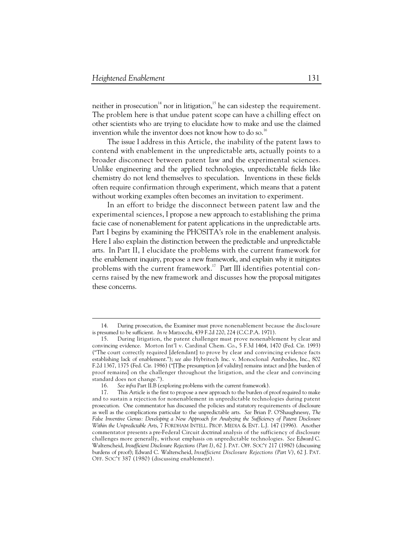$\ddot{\phantom{a}}$ 

neither in prosecution<sup>14</sup> nor in litigation,<sup>15</sup> he can sidestep the requirement. The problem here is that undue patent scope can have a chilling effect on other scientists who are trying to elucidate how to make and use the claimed invention while the inventor does not know how to do so.<sup>16</sup>

The issue I address in this Article, the inability of the patent laws to contend with enablement in the unpredictable arts, actually points to a broader disconnect between patent law and the experimental sciences. Unlike engineering and the applied technologies, unpredictable fields like chemistry do not lend themselves to speculation. Inventions in these fields often require confirmation through experiment, which means that a patent without working examples often becomes an invitation to experiment.

In an effort to bridge the disconnect between patent law and the experimental sciences, I propose a new approach to establishing the prima facie case of nonenablement for patent applications in the unpredictable arts. Part I begins by examining the PHOSITA's role in the enablement analysis. Here I also explain the distinction between the predictable and unpredictable arts. In Part II, I elucidate the problems with the current framework for the enablement inquiry, propose a new framework, and explain why it mitigates problems with the current framework.<sup>17</sup> Part III identifies potential concerns raised by the new framework and discusses how the proposal mitigates these concerns.

 <sup>14.</sup> During prosecution, the Examiner must prove nonenablement because the disclosure is presumed to be sufficient. *In re* Marzocchi, 439 F.2d 220, 224 (C.C.P.A. 1971).

 <sup>15.</sup> During litigation, the patent challenger must prove nonenablement by clear and convincing evidence. Morton Int'l v. Cardinal Chem. Co., 5 F.3d 1464, 1470 (Fed. Cir. 1993) ("The court correctly required [defendant] to prove by clear and convincing evidence facts establishing lack of enablement."); *see also* Hybritech Inc. v. Monoclonal Antibodies, Inc., 802 F.2d 1367, 1375 (Fed. Cir. 1986) ("[T]he presumption [of validity] remains intact and [the burden of proof remains] on the challenger throughout the litigation, and the clear and convincing standard does not change.").

 <sup>16.</sup> *See infra* Part II.B (exploring problems with the current framework).

 <sup>17.</sup> This Article is the first to propose a new approach to the burden of proof required to make and to sustain a rejection for nonenablement in unpredictable technologies during patent prosecution. One commentator has discussed the policies and statutory requirements of disclosure as well as the complications particular to the unpredictable arts. *See* Brian P. O'Shaughnessy, *The*  False Inventive Genus: Developing a New Approach for Analyzing the Sufficiency of Patent Disclosure *Within the Unpredictable Arts*, 7 FORDHAM INTELL. PROP. MEDIA & ENT. L.J. 147 (1996). Another commentator presents a pre-Federal Circuit doctrinal analysis of the sufficiency of disclosure challenges more generally, without emphasis on unpredictable technologies. *See* Edward C. Walterscheid, *Insufficient Disclosure Rejections (Part I)*, 62 J. PAT. OFF. SOC'Y 217 (1980) (discussing burdens of proof); Edward C. Walterscheid, *Insufficient Disclosure Rejections (Part V)*, 62 J. PAT. OFF. SOC'Y 387 (1980) (discussing enablement).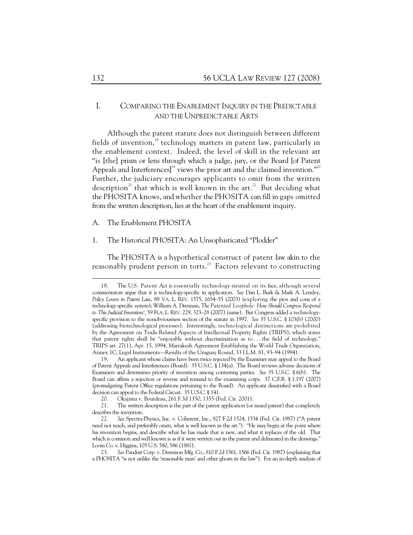# I. COMPARING THE ENABLEMENT INQUIRY IN THE PREDICTABLE AND THE UNPREDICTABLE ARTS

Although the patent statute does not distinguish between different fields of invention, $18$  technology matters in patent law, particularly in the enablement context. Indeed, the level of skill in the relevant art "is [the] prism or lens through which a judge, jury, or the Board [of Patent Appeals and Interferences]<sup>19</sup> views the prior art and the claimed invention.<sup>"20</sup> Further, the judiciary encourages applicants to omit from the written description<sup>21</sup> that which is well known in the art.<sup>22</sup> But deciding what the PHOSITA knows, and whether the PHOSITA can fill in gaps omitted from the written description, lies at the heart of the enablement inquiry.

A. The Enablement PHOSITA

#### 1. The Historical PHOSITA: An Unsophisticated "Plodder"

The PHOSITA is a hypothetical construct of patent law akin to the reasonably prudent person in torts.<sup>23</sup> Factors relevant to constructing

 <sup>18.</sup> The U.S. Patent Act is essentially technology-neutral on its face, although several commentators argue that it is technology-specific in application. *See* Dan L. Burk & Mark A. Lemley, *Policy Levers in Patent Law*, 89 VA. L. REV. 1575, 1654–55 (2003) (exploring the pros and cons of a technology-specific system); William A. Drennan, *The Patented Loophole: How Should Congress Respond to This Judicial Invention?*, 59 FLA. L. REV. 229, 323–28 (2007) (same). But Congress added a technologyspecific provision to the nonobviousness section of the statute in 1997. *See* 35 U.S.C. § 103(b) (2000) (addressing biotechnological processes). Interestingly, technological distinctions are prohibited by the Agreement on Trade-Related Aspects of Intellectual Property Rights (TRIPS), which states that patent rights shall be "enjoyable without discrimination as to . . . the field of technology." TRIPS art. 27(1), Apr. 15, 1994, Marrakesh Agreement Establishing the World Trade Organization, Annex 1C, Legal Instruments—Results of the Uruguay Round, 33 I.L.M. 81, 93–94 (1994).

 <sup>19.</sup> An applicant whose claims have been twice rejected by the Examiner may appeal to the Board of Patent Appeals and Interferences (Board). 35 U.S.C. § 134(a). The Board reviews adverse decisions of Examiners and determines priority of invention among contesting parties. *See* 35 U.S.C. § 6(b)*.* The Board can affirm a rejection or reverse and remand to the examining corps. 37 C.F.R. § 1.197 (2007) (promulgating Patent Office regulations pertaining to the Board). An applicant dissatisfied with a Board decision can appeal to the Federal Circuit. 35 U.S.C. § 141.

 <sup>20.</sup> Okajima v. Bourdeau, 261 F.3d 1350, 1355 (Fed. Cir. 2001).

 <sup>21.</sup> The written description is the part of the patent application (or issued patent) that completely describes the invention.

<sup>22</sup>*. See* Spectra-Physics, Inc. v. Coherent, Inc., 827 F.2d 1524, 1534 (Fed. Cir. 1987) ("A patent need not teach, and preferably omits, what is well known in the art."). "He may begin at the point where his invention begins, and describe what he has made that is new, and what it replaces of the old. That which is common and well known is as if it were written out in the patent and delineated in the drawings." Loom Co. v. Higgins, 105 U.S. 580, 586 (1881).

 <sup>23.</sup> *See* Panduit Corp. v. Dennison Mfg. Co., 810 F.2d 1561, 1566 (Fed. Cir. 1987) (explaining that a PHOSITA "is not unlike the 'reasonable man' and other ghosts in the law"). For an in-depth analysis of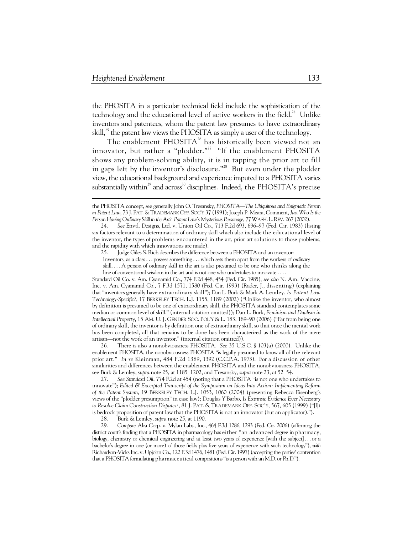$\ddot{\phantom{a}}$ 

the PHOSITA in a particular technical field include the sophistication of the technology and the educational level of active workers in the field.<sup>24</sup> Unlike inventors and patentees, whom the patent law presumes to have extraordinary skill,<sup>25</sup> the patent law views the PHOSITA as simply a user of the technology.

The enablement PHOSITA<sup>26</sup> has historically been viewed not an innovator, but rather a "plodder."<sup>27</sup> "If the enablement PHOSITA shows any problem-solving ability, it is in tapping the prior art to fill in gaps left by the inventor's disclosure."<sup>28</sup> But even under the plodder view, the educational background and experience imputed to a PHOSITA varies substantially within<sup>29</sup> and across<sup>30</sup> disciplines. Indeed, the PHOSITA's precise

Standard Oil Co. v. Am. Cyanamid Co., 774 F.2d 448, 454 (Fed. Cir. 1985); *see also* N. Am. Vaccine, Inc. v. Am. Cyanamid Co., 7 F.3d 1571, 1580 (Fed. Cir. 1993) (Rader, J., dissenting) (explaining that "inventors generally have extraordinary skill"); Dan L. Burk & Mark A. Lemley, *Is Patent Law Technology-Specific?*, 17 BERKELEY TECH. L.J. 1155, 1189 (2002) ("Unlike the inventor, who almost by definition is presumed to be one of extraordinary skill, the PHOSITA standard contemplates some median or common level of skill." (internal citation omitted)); Dan L. Burk, *Feminism and Dualism in Intellectual Property*, 15 AM. U. J. GENDER SOC. POL'Y & L. 183, 189–90 (2006) ("Far from being one of ordinary skill, the inventor is by definition one of extraordinary skill, so that once the mental work has been completed, all that remains to be done has been characterized as the work of the mere artisan—not the work of an inventor." (internal citation omitted)).

 26. There is also a nonobviousness PHOSITA. *See* 35 U.S.C. § 103(a) (2000). Unlike the enablement PHOSITA, the nonobviousness PHOSITA "is legally presumed to know all of the relevant prior art." *In re* Kleinman, 484 F.2d 1389, 1392 (C.C.P.A. 1973). For a discussion of other similarities and differences between the enablement PHOSITA and the nonobviousness PHOSITA, see Burk & Lemley, *supra* note 25, at 1185–1202, and Tresansky, *supra* note 23, at 52–54.

 27. *See Standard Oil*, 774 F.2d at 454 (noting that a PHOSITA "is not one who undertakes to innovate"); *Edited & Excerpted Transcript of the Symposium on Ideas Into Action: Implementing Reform of the Patent System*, 19 BERKELEY TECH. L.J. 1053, 1060 (2004) (presenting Rebecca Eisenberg's views of the "plodder presumption" in case law); Douglas Y'Barbo, *Is Extrinsic Evidence Ever Necessary to Resolve Claim Construction Disputes?*, 81 J. PAT. & TRADEMARK OFF. SOC'Y, 567, 605 (1999) ("[I]t is bedrock proposition of patent law that the PHOSITA is not an innovator (but an applicator).").

28. Burk & Lemley, *supra* note 25, at 1190.

 29. *Compare* Alza Corp. v. Mylan Labs., Inc., 464 F.3d 1286, 1293 (Fed. Cir. 2006) (affirming the district court's finding that a PHOSITA in pharmacology has either "an advanced degree in pharmacy, biology, chemistry or chemical engineering and at least two years of experience [with the subject] . . . or a bachelor's degree in one (or more) of those fields plus five years of experience with such technology"), *with* Richardson-Vicks Inc. v. Upjohn Co., 122 F.3d 1476, 1481 (Fed. Cir. 1997) (accepting the parties' contention that a PHOSITA formulating pharmaceutical compositions "is a person with an M.D. or Ph.D.").

the PHOSITA concept, see generally John O. Tresansky, *PHOSITA—The Ubiquitous and Enigmatic Person in Patent Law*, 73 J. PAT. &TRADEMARK OFF. SOC'Y 37 (1991); Joseph P. Meara, Comment, *Just Who Is the Person Having Ordinary Skill in the Art? Patent Law's Mysterious Personage*, 77 WASH.L.REV. 267 (2002).

 <sup>24.</sup> *See* Envtl. Designs, Ltd. v. Union Oil Co., 713 F.2d 693, 696–97 (Fed. Cir. 1983) (listing six factors relevant to a determination of ordinary skill which also include the educational level of the inventor, the types of problems encountered in the art, prior art solutions to those problems, and the rapidity with which innovations are made).

 <sup>25.</sup> Judge Giles S. Rich describes the difference between a PHOSITA and an inventor: Inventors, as a class . . . possess something . . . which sets them apart from the workers of *ordinary*

skill. . . . A person of ordinary skill in the art is also presumed to be one who thinks along the line of conventional wisdom in the art and is not one who undertakes to innovate . . . .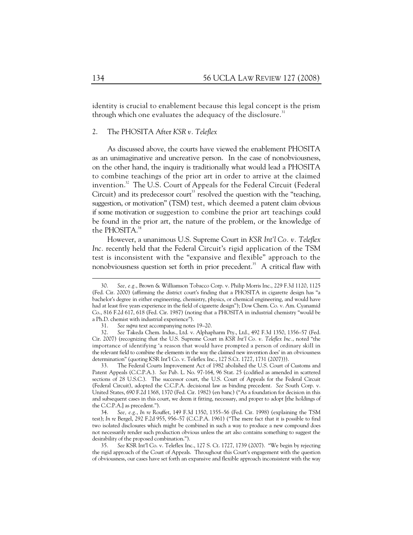identity is crucial to enablement because this legal concept is the prism through which one evaluates the adequacy of the disclosure. $31$ 

# 2. The PHOSITA After *KSR v. Teleflex*

As discussed above, the courts have viewed the enablement PHOSITA as an unimaginative and uncreative person. In the case of nonobviousness, on the other hand, the inquiry is traditionally what would lead a PHOSITA to combine teachings of the prior art in order to arrive at the claimed invention.<sup>32</sup> The U.S. Court of Appeals for the Federal Circuit (Federal Circuit) and its predecessor court<sup>33</sup> resolved the question with the "teaching, suggestion, or motivation" (TSM) test, which deemed a patent claim obvious if some motivation or suggestion to combine the prior art teachings could be found in the prior art, the nature of the problem, or the knowledge of the PHOSITA.<sup>34</sup>

However, a unanimous U.S. Supreme Court in *KSR Int'l Co. v. Teleflex Inc.* recently held that the Federal Circuit's rigid application of the TSM test is inconsistent with the "expansive and flexible" approach to the nonobviousness question set forth in prior precedent.<sup>35</sup> A critical flaw with

 33. The Federal Courts Improvement Act of 1982 abolished the U.S. Court of Customs and Patent Appeals (C.C.P.A.). *See* Pub. L. No. 97-164, 96 Stat. 25 (codified as amended in scattered sections of 28 U.S.C.). The successor court, the U.S. Court of Appeals for the Federal Circuit (Federal Circuit), adopted the C.C.P.A. decisional law as binding precedent. *See* South Corp. v. United States, 690 F.2d 1368, 1370 (Fed. Cir. 1982) (en banc) ("As a foundation for decision in this and subsequent cases in this court, we deem it fitting, necessary, and proper to adopt [the holdings of the C.C.P.A.] as precedent.").

 <sup>30.</sup> *See, e.g.*, Brown & Williamson Tobacco Corp. v. Philip Morris Inc., 229 F.3d 1120, 1125 (Fed. Cir. 2000) (affirming the district court's finding that a PHOSITA in cigarette design has "a bachelor's degree in either engineering, chemistry, physics, or chemical engineering, and would have had at least five years experience in the field of cigarette design"); Dow Chem. Co. v. Am. Cyanamid Co., 816 F.2d 617, 618 (Fed. Cir. 1987) (noting that a PHOSITA in industrial chemistry "would be a Ph.D. chemist with industrial experience").

 <sup>31.</sup> *See supra* text accompanying notes 19–20.

 <sup>32.</sup> *See* Takeda Chem. Indus., Ltd. v. Alphapharm Pty., Ltd., 492 F.3d 1350, 1356–57 (Fed. Cir. 2007) (recognizing that the U.S. Supreme Court in *KSR Int'l Co. v. Teleflex Inc.*, noted "the importance of identifying 'a reason that would have prompted a person of ordinary skill in the relevant field to combine the elements in the way the claimed new invention does' in an obviousness determination" (quoting KSR Int'l Co. v. Teleflex Inc., 127 S.Ct. 1727, 1731 (2007))).

 <sup>34.</sup> *See, e.g.*, *In re* Rouffet, 149 F.3d 1350, 1355–56 (Fed. Cir. 1998) (explaining the TSM test); *In re* Bergel, 292 F.2d 955, 956–57 (C.C.P.A. 1961) ("The mere fact that it is possible to find two isolated disclosures which might be combined in such a way to produce a new compound does not necessarily render such production obvious unless the art also contains something to suggest the desirability of the proposed combination.").

 <sup>35.</sup> *See* KSR Int'l Co. v. Teleflex Inc., 127 S. Ct. 1727, 1739 (2007). "We begin by rejecting the rigid approach of the Court of Appeals. Throughout this Court's engagement with the question of obviousness, our cases have set forth an expansive and flexible approach inconsistent with the way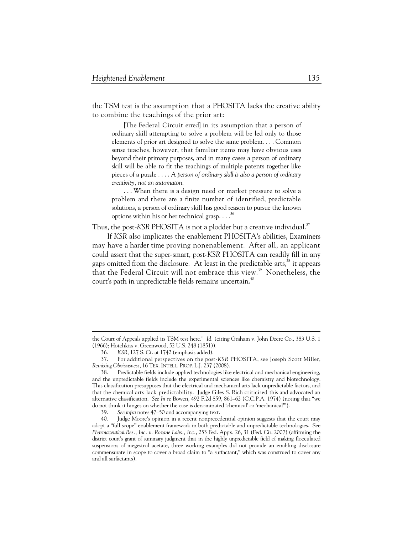the TSM test is the assumption that a PHOSITA lacks the creative ability to combine the teachings of the prior art:

[The Federal Circuit erred] in its assumption that a person of ordinary skill attempting to solve a problem will be led only to those elements of prior art designed to solve the same problem. . . . Common sense teaches, however, that familiar items may have obvious uses beyond their primary purposes, and in many cases a person of ordinary skill will be able to fit the teachings of multiple patents together like pieces of a puzzle . . . . *A person of ordinary skill is also a person of ordinary creativity, not an automaton*.

. . . When there is a design need or market pressure to solve a problem and there are a finite number of identified, predictable solutions, a person of ordinary skill has good reason to pursue the known options within his or her technical grasp.  $\ldots$ <sup>36</sup>

Thus, the post-KSR PHOSITA is not a plodder but a creative individual.<sup>37</sup>

If *KSR* also implicates the enablement PHOSITA's abilities, Examiners may have a harder time proving nonenablement. After all, an applicant could assert that the super-smart, post-*KSR* PHOSITA can readily fill in any gaps omitted from the disclosure. At least in the predictable arts,<sup>38</sup> it appears that the Federal Circuit will not embrace this view.<sup>39</sup> Nonetheless, the court's path in unpredictable fields remains uncertain.<sup>40</sup>

the Court of Appeals applied its TSM test here." *Id.* (citing Graham v. John Deere Co., 383 U.S. 1 (1966); Hotchkiss v. Greenwood, 52 U.S. 248 (1851)).

 <sup>36.</sup> *KSR*, 127 S. Ct. at 1742 (emphasis added).

 <sup>37.</sup> For additional perspectives on the post-*KSR* PHOSITA, see Joseph Scott Miller, *Remixing Obviousness*, 16 TEX. INTELL. PROP. L.J. 237 (2008).

 <sup>38.</sup> Predictable fields include applied technologies like electrical and mechanical engineering, and the unpredictable fields include the experimental sciences like chemistry and biotechnology. This classification presupposes that the electrical and mechanical arts lack unpredictable factors, and that the chemical arts lack predictability. Judge Giles S. Rich criticized this and advocated an alternative classification. *See In re* Bowen, 492 F.2d 859, 861–62 (C.C.P.A. 1974) (noting that "we do not think it hinges on whether the case is denominated 'chemical' or 'mechanical'").

 <sup>39.</sup> *See infra* notes 47–50 and accompanying text.

 <sup>40.</sup> Judge Moore's opinion in a recent nonprecedential opinion suggests that the court may adopt a "full scope" enablement framework in both predictable and unpredictable technologies. See *Pharmaceutical Res., Inc. v. Roxane Labs., Inc.*, 253 Fed. Appx. 26, 31 (Fed. Cir. 2007) (affirming the district court's grant of summary judgment that in the highly unpredictable field of making flocculated suspensions of megestrol acetate, three working examples did not provide an enabling disclosure commensurate in scope to cover a broad claim to "a surfactant," which was construed to cover any and all surfactants).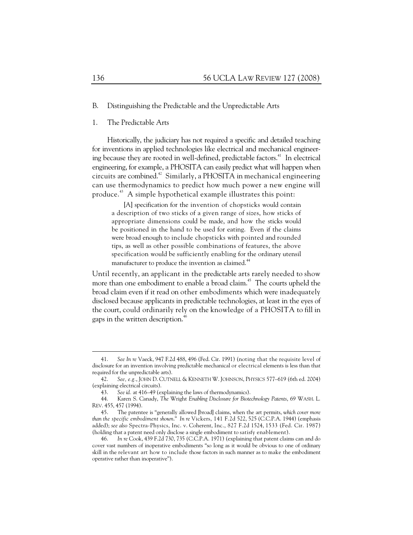## B. Distinguishing the Predictable and the Unpredictable Arts

# 1. The Predictable Arts

Historically, the judiciary has not required a specific and detailed teaching for inventions in applied technologies like electrical and mechanical engineering because they are rooted in well-defined, predictable factors.<sup>41</sup> In electrical engineering, for example, a PHOSITA can easily predict what will happen when circuits are combined.<sup>42</sup> Similarly, a PHOSITA in mechanical engineering can use thermodynamics to predict how much power a new engine will produce.43 A simple hypothetical example illustrates this point:

[A] specification for the invention of chopsticks would contain a description of two sticks of a given range of sizes, how sticks of appropriate dimensions could be made, and how the sticks would be positioned in the hand to be used for eating. Even if the claims were broad enough to include chopsticks with pointed and rounded tips, as well as other possible combinations of features, the above specification would be sufficiently enabling for the ordinary utensil manufacturer to produce the invention as claimed.<sup>44</sup>

Until recently, an applicant in the predictable arts rarely needed to show more than one embodiment to enable a broad claim.<sup>45</sup> The courts upheld the broad claim even if it read on other embodiments which were inadequately disclosed because applicants in predictable technologies, at least in the eyes of the court, could ordinarily rely on the knowledge of a PHOSITA to fill in gaps in the written description.<sup>46</sup>

 <sup>41.</sup> *See In re* Vaeck, 947 F.2d 488, 496 (Fed. Cir. 1991) (noting that the requisite level of disclosure for an invention involving predictable mechanical or electrical elements is less than that required for the unpredictable arts).

 <sup>42.</sup> *See, e.g.*, JOHN D. CUTNELL & KENNETH W. JOHNSON, PHYSICS 577–619 (6th ed. 2004) (explaining electrical circuits).

 <sup>43.</sup> *See id.* at 416–49 (explaining the laws of thermodynamics).

 <sup>44.</sup> Karen S. Canady, *The* Wright *Enabling Disclosure for Biotechnology Patents*, 69 WASH. L. REV. 455, 457 (1994).

 <sup>45.</sup> The patentee is "generally allowed [broad] claims, when the art permits, *which cover more than the specific embodiment shown*." *In re* Vickers, 141 F.2d 522, 525 (C.C.P.A. 1944) (emphasis added); *see also* Spectra-Physics, Inc. v. Coherent, Inc., 827 F.2d 1524, 1533 (Fed. Cir. 1987) (holding that a patent need only disclose a single embodiment to satisfy enablement).

 <sup>46.</sup> *In re* Cook, 439 F.2d 730, 735 (C.C.P.A. 1971) (explaining that patent claims can and do cover vast numbers of inoperative embodiments "so long as it would be obvious to one of ordinary skill in the relevant art how to include those factors in such manner as to make the embodiment operative rather than inoperative").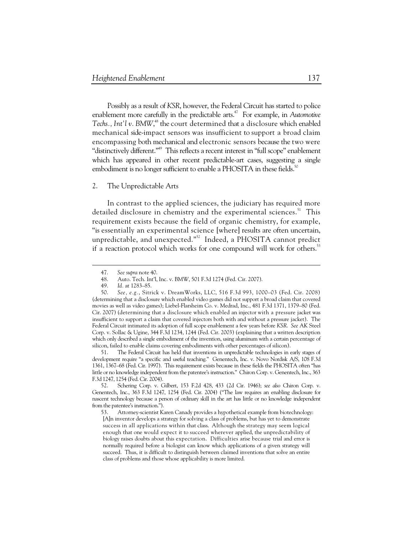Possibly as a result of *KSR*, however, the Federal Circuit has started to police enablement more carefully in the predictable arts.<sup>47</sup> For example, in Automotive Techs., Int'l v. BMW,<sup>48</sup> the court determined that a disclosure which enabled mechanical side-impact sensors was insufficient to support a broad claim encompassing both mechanical and electronic sensors because the two were "distinctively different."49 This reflects a recent interest in "full scope" enablement which has appeared in other recent predictable-art cases, suggesting a single embodiment is no longer sufficient to enable a PHOSITA in these fields.<sup>50</sup>

# 2. The Unpredictable Arts

In contrast to the applied sciences, the judiciary has required more detailed disclosure in chemistry and the experimental sciences.<sup>51</sup> This requirement exists because the field of organic chemistry, for example, "is essentially an experimental science [where] results are often uncertain, unpredictable, and unexpected."52 Indeed, a PHOSITA cannot predict if a reaction protocol which works for one compound will work for others.<sup>53</sup>

-

 51. The Federal Circuit has held that inventions in unpredictable technologies in early stages of development require "a specific and useful teaching." Genentech, Inc. v. Novo Nordisk A/S, 108 F.3d 1361, 1367–68 (Fed. Cir. 1997). This requirement exists because in these fields the PHOSITA often "has little or no knowledge independent from the patentee's instruction." Chiron Corp. v. Genentech, Inc., 363 F.3d 1247, 1254 (Fed. Cir. 2004).

 52. Schering Corp. v. Gilbert, 153 F.2d 428, 433 (2d Cir. 1946); *see also* Chiron Corp. v. Genentech, Inc., 363 F.3d 1247, 1254 (Fed. Cir. 2004) ("The law requires an enabling disclosure for nascent technology because a person of ordinary skill in the art has little or no knowledge independent from the patentee's instruction.").

 53. Attorney-scientist Karen Canady provides a hypothetical example from biotechnology: [A]n inventor develops a strategy for solving a class of problems, but has yet to demonstrate success in all applications within that class. Although the strategy may seem logical enough that one would expect it to succeed wherever applied, the unpredictability of biology raises doubts about this expectation. Difficulties arise because trial and error is normally required before a biologist can know which applications of a given strategy will succeed. Thus, it is difficult to distinguish between claimed inventions that solve an entire class of problems and those whose applicability is more limited.

 <sup>47.</sup> *See supra* note 40.

 <sup>48.</sup> Auto. Tech. Int'l, Inc. v. BMW, 501 F.3d 1274 (Fed. Cir. 2007).

Id. at 1283-85.

 <sup>50.</sup> *See, e.g.*, Sitrick v. DreamWorks, LLC, 516 F.3d 993, 1000–03 (Fed. Cir. 2008) (determining that a disclosure which enabled video games did not support a broad claim that covered movies as well as video games); Liebel-Flarsheim Co. v. Medrad, Inc., 481 F.3d 1371, 1379–80 (Fed. Cir. 2007) (determining that a disclosure which enabled an injector with a pressure jacket was insufficient to support a claim that covered injectors both with and without a pressure jacket). The Federal Circuit intimated its adoption of full scope enablement a few years before *KSR*. *See* AK Steel Corp. v. Sollac & Ugine, 344 F.3d 1234, 1244 (Fed. Cir. 2003) (explaining that a written description which only described a single embodiment of the invention, using aluminum with a certain percentage of silicon, failed to enable claims covering embodiments with other percentages of silicon).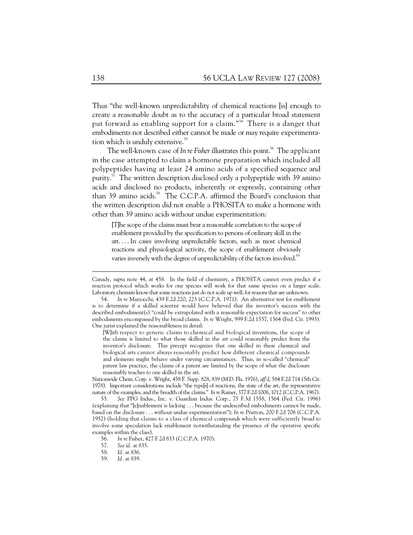Thus "the well-known unpredictability of chemical reactions [is] enough to create a reasonable doubt as to the accuracy of a particular broad statement put forward as enabling support for a claim."<sup>54</sup> There is a danger that embodiments not described either cannot be made or may require experimentation which is unduly extensive.<sup>55</sup>

The well-known case of *In re Fisher* illustrates this point.<sup>56</sup> The applicant in the case attempted to claim a hormone preparation which included all polypeptides having at least 24 amino acids of a specified sequence and purity.<sup>57</sup> The written description disclosed only a polypeptide with 39 amino acids and disclosed no products, inherently or expressly, containing other than 39 amino acids.<sup>58</sup> The C.C.P.A. affirmed the Board's conclusion that the written description did not enable a PHOSITA to make a hormone with other than 39 amino acids without undue experimentation:

[T]he scope of the claims must bear a reasonable correlation to the scope of enablement provided by the specification to persons of ordinary skill in the art. . . . In cases involving unpredictable factors, such as most chemical reactions and physiological activity, the scope of enablement obviously varies inversely with the degree of unpredictability of the factors involved.<sup>59</sup>

Nationwide Chem. Corp. v. Wright, 458 F. Supp. 828, 839 (M.D. Fla. 1976), *aff'd*, 584 F.2d 714 (5th Cir. 1978). Important considerations include "the type[s] of reactions, the state of the art, the representative nature of the examples, and the breadth of the claims." *In re* Rainer, 377 F.2d 1006, 1012 (C.C.P.A. 1967).

Canady, *supra* note 44, at 458. In the field of chemistry, a PHOSITA cannot even predict if a reaction protocol which works for one species will work for that same species on a larger scale. Laboratory chemists know that some reactions just do not scale up well, for reasons that are unknown.

 <sup>54.</sup> *In re* Marzocchi, 439 F.2d 220, 223 (C.C.P.A. 1971). An alternative test for enablement is to determine if a skilled scientist would have believed that the inventor's success with the described embodiment(s) "could be extrapolated with a reasonable expectation for success" to other embodiments encompassed by the broad claims. *In re* Wright, 999 F.2d 1557, 1564 (Fed. Cir. 1993). One jurist explained the reasonableness in detail:

<sup>[</sup>W]ith respect to generic claims to chemical and biological inventions, the scope of the claims is limited to what those skilled in the art could reasonably predict from the inventor's disclosure. This precept recognizes that one skilled in these chemical and biological arts cannot always reasonably predict how different chemical compounds and elements might behave under varying circumstances. Thus, in so-called "chemical" patent law practice, the claims of a patent are limited by the scope of what the disclosure reasonably teaches to one skilled in the art.

 <sup>55.</sup> *See* PPG Indus., Inc. v. Guardian Indus. Corp., 75 F.3d 1558, 1564 (Fed. Cir. 1996) (explaining that "[e]nablement is lacking . . . because the undescribed embodiments cannot be made, based on the disclosure . . . without undue experimentation"); *In re* Prutton, 200 F.2d 706 (C.C.P.A. 1952) (holding that claims to a class of chemical compounds which were sufficiently broad to involve some speculation lack enablement notwithstanding the presence of the operative specific examples within the class).

 <sup>56.</sup> *In re* Fisher, 427 F.2d 833 (C.C.P.A. 1970).

 <sup>57.</sup> *See id.* at 835.

 <sup>58.</sup> *Id.* at 836.

 <sup>59.</sup> *Id.* at 839.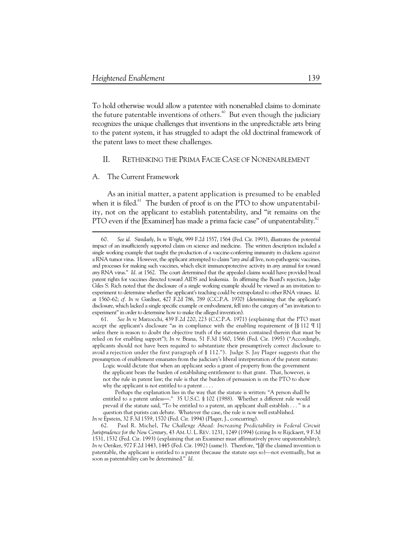To hold otherwise would allow a patentee with nonenabled claims to dominate the future patentable inventions of others. $60$  But even though the judiciary recognizes the unique challenges that inventions in the unpredictable arts bring to the patent system, it has struggled to adapt the old doctrinal framework of the patent laws to meet these challenges.

# II. RETHINKING THE PRIMA FACIE CASE OF NONENABLEMENT

# A. The Current Framework

-

As an initial matter, a patent application is presumed to be enabled when it is filed. $61$  The burden of proof is on the PTO to show unpatentability, not on the applicant to establish patentability, and "it remains on the PTO even if the [Examiner] has made a prima facie case" of unpatentability. $62$ 

 <sup>60.</sup> *See id.* Similarly, *In re Wright*, 999 F.2d 1557, 1564 (Fed. Cir. 1993), illustrates the potential impact of an insufficiently supported claim on science and medicine. The written description included a single working example that taught the production of a vaccine-conferring immunity in chickens against a RNA tumor virus. However, the applicant attempted to claim "*any and all* live, non-pathogenic vaccines, and processes for making such vaccines, which elicit immunoprotective activity in *any* animal for toward *any* RNA virus." *Id.* at 1562. The court determined that the appealed claims would have provided broad patent rights for vaccines directed toward AIDS and leukemia. In affirming the Board's rejection, Judge Giles S. Rich noted that the disclosure of a single working example should be viewed as an invitation to experiment to determine whether the applicant's teaching could be extrapolated to other RNA viruses. *Id.* at 1560–62; *cf. In re* Gardner, 427 F.2d 786, 789 (C.C.P.A. 1970) (determining that the applicant's disclosure, which lacked a single specific example or embodiment, fell into the category of "an invitation to experiment" in order to determine how to make the alleged invention).

 <sup>61.</sup> *See In re* Marzocchi, 439 F.2d 220, 223 (C.C.P.A. 1971) (explaining that the PTO must accept the applicant's disclosure "as in compliance with the enabling requirement of [§ 112 ¶ 1] *unless* there is reason to doubt the objective truth of the statements contained therein that must be relied on for enabling support"); *In re* Brana, 51 F.3d 1560, 1566 (Fed. Cir. 1995) ("Accordingly, applicants should not have been required to substantiate their presumptively correct disclosure to avoid a rejection under the first paragraph of § 112."). Judge S. Jay Plager suggests that the presumption of enablement emanates from the judiciary's liberal interpretation of the patent statute:

Logic would dictate that when an applicant seeks a grant of property from the government the applicant bears the burden of establishing entitlement to that grant. That, however, is not the rule in patent law; the rule is that the burden of persuasion is on the PTO to show why the applicant is not entitled to a patent . . . .

Perhaps the explanation lies in the way that the statute is written: "A person shall be entitled to a patent unless—." 35 U.S.C.  $\frac{6}{5}$  102 (1988). Whether a different rule would prevail if the statute said, "To be entitled to a patent, an applicant shall establish . . . " is a question that purists can debate. Whatever the case, the rule is now well established.

*In re* Epstein, 32 F.3d 1559, 1570 (Fed. Cir. 1994) (Plager, J., concurring).

 <sup>62.</sup> Paul R. Michel, *The Challenge Ahead: Increasing Predictability in Federal Circuit Jurisprudence for the New Century*, 43 AM. U. L. REV. 1231, 1249 (1994) (citing *In re* Rijckaert, 9 F.3d 1531, 1532 (Fed. Cir. 1993) (explaining that an Examiner must affirmatively prove unpatentability); *In re* Oetiker, 977 F.2d 1443, 1445 (Fed. Cir. 1992) (same)). Therefore, "[i]f the claimed invention is patentable, the applicant is entitled to a patent (because the statute says so)—not eventually, but as soon as patentability can be determined." *Id.*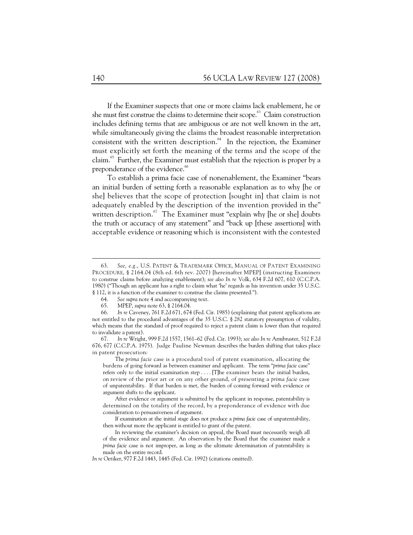If the Examiner suspects that one or more claims lack enablement, he or she must first construe the claims to determine their scope.<sup>63</sup> Claim construction includes defining terms that are ambiguous or are not well known in the art, while simultaneously giving the claims the broadest reasonable interpretation consistent with the written description. $64$  In the rejection, the Examiner must explicitly set forth the meaning of the terms and the scope of the claim.<sup>65</sup> Further, the Examiner must establish that the rejection is proper by a preponderance of the evidence.<sup>66</sup>

To establish a prima facie case of nonenablement, the Examiner "bears an initial burden of setting forth a reasonable explanation as to why [he or she] believes that the scope of protection [sought in] that claim is not adequately enabled by the description of the invention provided in the" written description. $67$  The Examiner must "explain why [he or she] doubts the truth or accuracy of any statement" and "back up [these assertions] with acceptable evidence or reasoning which is inconsistent with the contested

 <sup>63.</sup> *See, e.g.*, U.S. PATENT & TRADEMARK OFFICE, MANUAL OF PATENT EXAMINING PROCEDURE, § 2164.04 (8th ed. 6th rev. 2007) [hereinafter MPEP] (instructing Examiners to construe claims before analyzing enablement); *see also In re* Volk, 634 F.2d 607, 610 (C.C.P.A. 1980) ("Though an applicant has a right to claim what 'he' regards as his invention under 35 U.S.C. § 112, it is a function of the examiner to construe the claims presented.").

 <sup>64.</sup> *See supra* note 4 and accompanying text.

 <sup>65.</sup> MPEP, *supra* note 63, § 2164.04.

 <sup>66.</sup> *In re* Caveney, 761 F.2d 671, 674 (Fed. Cir. 1985) (explaining that patent applications are not entitled to the procedural advantages of the 35 U.S.C. § 282 statutory presumption of validity, which means that the standard of proof required to reject a patent claim is lower than that required to invalidate a patent).

 <sup>67.</sup> *In re* Wright, 999 F.2d 1557, 1561–62 (Fed. Cir. 1993); *see also In re* Armbruster, 512 F.2d 676, 677 (C.C.P.A. 1975). Judge Pauline Newman describes the burden shifting that takes place in patent prosecution:

The *prima facie* case is a procedural tool of patent examination, allocating the burdens of going forward as between examiner and applicant. The term "*prima facie* case" refers only to the initial examination step . . . . [T]he examiner bears the initial burden, on review of the prior art or on any other ground, of presenting a *prima facie* case of unpatentability. If that burden is met, the burden of coming forward with evidence or argument shifts to the applicant.

After evidence or argument is submitted by the applicant in response, patentability is determined on the totality of the record, by a preponderance of evidence with due consideration to persuasiveness of argument.

If examination at the initial stage does not produce a *prima facie* case of unpatentability, then without more the applicant is entitled to grant of the patent.

In reviewing the examiner's decision on appeal, the Board must necessarily weigh all of the evidence and argument. An observation by the Board that the examiner made a *prima facie* case is not improper, as long as the ultimate determination of patentability is made on the entire record.

*In re* Oetiker, 977 F.2d 1443, 1445 (Fed. Cir. 1992) (citations omitted).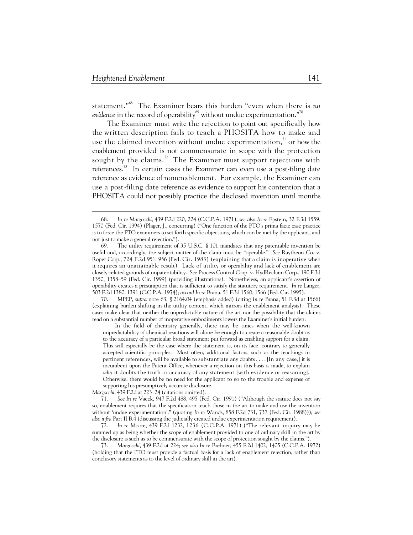-

statement."68 The Examiner bears this burden "even when there is *no evidence* in the record of operability<sup>69</sup> without undue experimentation. $10^{\circ}$ <sup>70</sup>

The Examiner must write the rejection to point out specifically how the written description fails to teach a PHOSITA how to make and use the claimed invention without undue experimentation, $^{71}$  or how the enablement provided is not commensurate in scope with the protection sought by the claims.<sup>72</sup> The Examiner must support rejections with references.<sup> $3\text{ }$ </sup> In certain cases the Examiner can even use a post-filing date reference as evidence of nonenablement. For example, the Examiner can use a post-filing date reference as evidence to support his contention that a PHOSITA could not possibly practice the disclosed invention until months

 70. MPEP, *supra* note 63, § 2164.04 (emphasis added) (citing *In re* Brana, 51 F.3d at 1566) (explaining burden shifting in the utility context, which mirrors the enablement analysis). These cases make clear that neither the unpredictable nature of the art nor the possibility that the claims read on a substantial number of inoperative embodiments lowers the Examiner's initial burden:

In the field of chemistry generally, there may be times when the well-known unpredictability of chemical reactions will alone be enough to create a reasonable doubt as to the accuracy of a particular broad statement put forward as enabling support for a claim. This will especially be the case where the statement is, on its face, contrary to generally accepted scientific principles. Most often, additional factors, such as the teachings in pertinent references, will be available to substantiate any doubts . . . . [In any case,] it is incumbent upon the Patent Office, whenever a rejection on this basis is made, to explain *why* it doubts the truth or accuracy of any statement [with evidence or reasoning]. Otherwise, there would be no need for the applicant to go to the trouble and expense of supporting his presumptively accurate disclosure.

*Marzocchi*, 439 F.2d at 223–24 (citations omitted).

 71. *See In re* Vaeck, 947 F.2d 488, 495 (Fed. Cir. 1991) ("Although the statute does not say so, enablement requires that the specification teach those in the art to make and use the invention without 'undue experimentation'." (quoting *In re* Wands, 858 F.2d 731, 737 (Fed. Cir. 1988))); *see also infra* Part II.B.4 (discussing the judicially created undue experimentation requirement).

 72. *In re* Moore, 439 F.2d 1232, 1236 (C.C.P.A. 1971) ("The relevant inquiry may be summed up as being whether the scope of enablement provided to one of ordinary skill in the art by the disclosure is such as to be commensurate with the scope of protection sought by the claims.").

 73. *Marzocchi*, 439 F.2d at 224; *see also In re* Brebner, 455 F.2d 1402, 1405 (C.C.P.A. 1972) (holding that the PTO must provide a factual basis for a lack of enablement rejection, rather than conclusory statements as to the level of ordinary skill in the art).

 <sup>68.</sup> *In re Marzocchi*, 439 F.2d 220, 224 (C.C.P.A. 1971); *see also In re* Epstein, 32 F.3d 1559, 1570 (Fed. Cir. 1994) (Plager, J., concurring) ("One function of the PTO's prima facie case practice is to force the PTO examiners to set forth specific objections, which can be met by the applicant, and not just to make a general rejection.").

 <sup>69.</sup> The utility requirement of 35 U.S.C. § 101 mandates that any patentable invention be useful and, accordingly, the subject matter of the claim must be "operable." *See* Raytheon Co. v. Roper Corp., 724 F.2d 951, 956 (Fed. Cir. 1983) (explaining that a claim is inoperative when it requires an unattainable result). Lack of utility or operability and lack of enablement are closely-related grounds of unpatentability. *See* Process Control Corp. v. HydReclaim Corp., 190 F.3d 1350, 1358–59 (Fed. Cir. 1999) (providing illustrations). Nonetheless, an applicant's assertion of operability creates a presumption that is sufficient to satisfy the statutory requirement. *In re* Langer, 503 F.2d 1380, 1391 (C.C.P.A. 1974); *accord In re* Brana, 51 F.3d 1560, 1566 (Fed. Cir. 1995).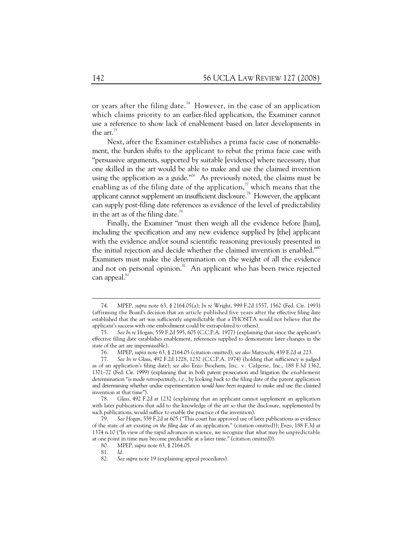or years after the filing date.<sup>74</sup> However, in the case of an application which claims priority to an earlier-filed application, the Examiner cannot use a reference to show lack of enablement based on later developments in the art.<sup>75</sup>

Next, after the Examiner establishes a prima facie case of nonenablement, the burden shifts to the applicant to rebut the prima facie case with "persuasive arguments, supported by suitable [evidence] where necessary, that one skilled in the art would be able to make and use the claimed invention using the application as a guide."<sup>76</sup> As previously noted, the claims must be enabling as of the filing date of the application,<sup> $\eta$ </sup> which means that the applicant cannot supplement an insufficient disclosure.78 However, the applicant can supply post-filing date references as evidence of the level of predictability in the art as of the filing date. $\theta$ 

Finally, the Examiner "must then weigh all the evidence before [him], including the specification and any new evidence supplied by [the] applicant with the evidence and/or sound scientific reasoning previously presented in the initial rejection and decide whether the claimed invention is enabled. $"^{\infty}$ Examiners must make the determination on the weight of all the evidence and not on personal opinion.<sup>81</sup> An applicant who has been twice rejected can appeal.<sup>82</sup>

 <sup>74.</sup> MPEP, *supra* note 63, § 2164.05(a); *In re* Wright, 999 F.2d 1557, 1562 (Fed. Cir. 1993) (affirming the Board's decision that an article published five years after the effective filing date established that the art was sufficiently unpredictable that a PHOSITA would not believe that the applicant's success with one embodiment could be extrapolated to others).

 <sup>75.</sup> *See In re* Hogan, 559 F.2d 595, 605 (C.C.P.A. 1977) (explaining that since the applicant's effective filing date establishes enablement, references supplied to demonstrate later changes in the state of the art are impermissible).

 <sup>76.</sup> MPEP, *supra* note 63, § 2164.05 (citation omitted); *see also Marzocchi*, 439 F.2d at 223.

 <sup>77.</sup> *See In re* Glass, 492 F.2d 1228, 1232 (C.C.P.A. 1974) (holding that sufficiency is judged as of an application's filing date); *see also* Enzo Biochem, Inc. v. Calgene, Inc., 188 F.3d 1362, 1371–72 (Fed. Cir. 1999) (explaining that in both patent prosecution and litigation the enablement determination "is made *retrospectively*, *i.e.*, by looking back to the filing date of the patent application and determining whether undue experimentation *would have been* required to make and use the claimed invention at that time").

 <sup>78.</sup> *Glass*, 492 F.2d at 1232 (explaining that an applicant cannot supplement an application with later publications that add to the knowledge of the art so that the disclosure, supplemented by such publications, would suffice to enable the practice of the invention).

 <sup>79.</sup> *See Hogan*, 559 F.2d at 605 ("This court has approved use of later publications as evidence of the state of art existing *on the filing date* of an application." (citation omitted)); *Enzo*, 188 F.3d at 1374 n.10 ("In view of the rapid advances in science, we recognize that what may be unpredictable at one point in time may become predictable at a later time." (citation omitted)).

 <sup>80.</sup> MPEP, *supra* note 63, § 2164.05.

 <sup>81.</sup> *Id.*

 <sup>82.</sup> *See supra* note 19 (explaining appeal procedures).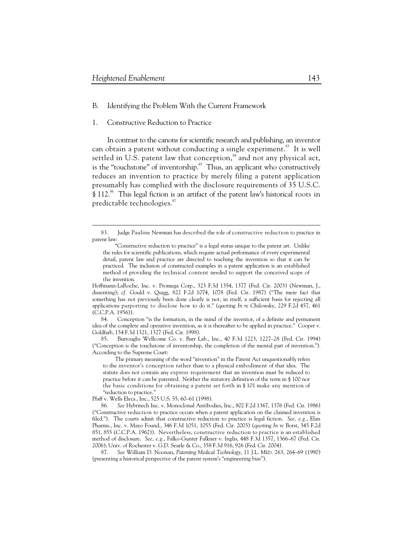$\ddot{\phantom{a}}$ 

- B. Identifying the Problem With the Current Framework
- 1. Constructive Reduction to Practice

In contrast to the canons for scientific research and publishing, an inventor can obtain a patent without conducting a single experiment.<sup>83</sup> It is well settled in U.S. patent law that conception, $^{84}$  and not any physical act, is the "touchstone" of inventorship.<sup>85</sup> Thus, an applicant who constructively reduces an invention to practice by merely filing a patent application presumably has complied with the disclosure requirements of 35 U.S.C. § 112.<sup>86</sup> This legal fiction is an artifact of the patent law's historical roots in predictable technologies.<sup>87</sup>

 <sup>83.</sup> Judge Pauline Newman has described the role of constructive reduction to practice in patent law:

<sup>&</sup>quot;Constructive reduction to practice" is a legal status unique to the patent art. Unlike the rules for scientific publications, which require actual performance of every experimental detail, patent law and practice are directed to teaching the invention so that it can be practiced. The inclusion of constructed examples in a patent application is an established method of providing the technical content needed to support the conceived scope of the invention.

Hoffmann-LaRoche, Inc. v. Promega Corp., 323 F.3d 1354, 1377 (Fed. Cir. 2003) (Newman, J., dissenting); *cf.* Gould v. Quigg, 822 F.2d 1074, 1078 (Fed. Cir. 1987) ("The mere fact that something has not previously been done clearly is not, in itself, a sufficient basis for rejecting all applications purporting to disclose how to do it." (quoting *In re* Chilowsky, 229 F.2d 457, 461 (C.C.P.A. 1956)).

 <sup>84.</sup> Conception "is the formation, in the mind of the inventor, of a definite and permanent idea of the complete and operative invention, as it is thereafter to be applied in practice." Cooper v. Goldfarb, 154 F.3d 1321, 1327 (Fed. Cir. 1998).

 <sup>85.</sup> Burroughs Wellcome Co. v. Barr Lab., Inc., 40 F.3d 1223, 1227–28 (Fed. Cir. 1994) ("Conception is the touchstone of inventorship, the completion of the mental part of invention."). According to the Supreme Court:

The primary meaning of the word "invention" in the Patent Act unquestionably refers to the inventor's conception rather than to a physical embodiment of that idea. The statute does not contain any express requirement that an invention must be reduced to practice before it can be patented. Neither the statutory definition of the term in § 100 nor the basic conditions for obtaining a patent set forth in § 101 make any mention of "reduction to practice."

Pfaff v. Wells Elecs., Inc., 525 U.S. 55, 60–61 (1998).

 <sup>86.</sup> *See* Hybritech Inc. v. Monoclonal Antibodies, Inc., 802 F.2d 1367, 1376 (Fed. Cir. 1986) ("Constructive reduction to practice occurs when a patent application on the claimed invention is filed."). The courts admit that constructive reduction to practice is legal fiction. *See, e.g.*, Elan Pharms., Inc. v. Mayo Found., 346 F.3d 1051, 1055 (Fed. Cir. 2003) (quoting *In re* Borst, 345 F.2d 851, 855 (C.C.P.A. 1962)). Nevertheless, constructive reduction to practice is an established method of disclosure. *See, e.g.*, Falko-Gunter Falkner v. Inglis, 448 F.3d 1357, 1366–67 (Fed. Cir. 2006); Univ. of Rochester v. G.D. Searle & Co., 358 F.3d 916, 926 (Fed. Cir. 2004).

 <sup>87.</sup> *See* William D. Noonan, *Patenting Medical Technology*, 11 J.L. MED. 263, 264–69 (1990) (presenting a historical perspective of the patent system's "engineering bias").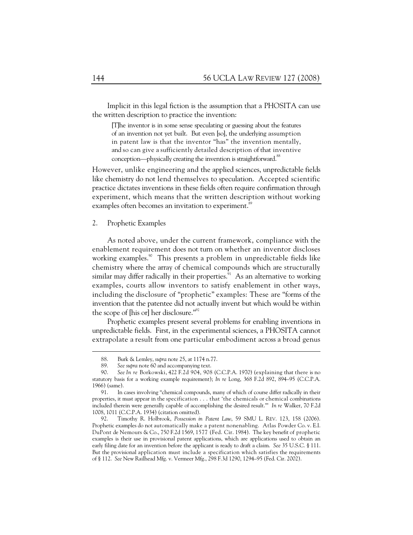Implicit in this legal fiction is the assumption that a PHOSITA can use the written description to practice the invention:

[T]he inventor is in some sense speculating or guessing about the features of an invention not yet built. But even [so], the underlying assumption in patent law is that the inventor "has" the invention mentally, and so can give a sufficiently detailed description of that inventive conception—physically creating the invention is straightforward.<sup>88</sup>

However, unlike engineering and the applied sciences, unpredictable fields like chemistry do not lend themselves to speculation. Accepted scientific practice dictates inventions in these fields often require confirmation through experiment, which means that the written description without working examples often becomes an invitation to experiment.<sup>89</sup>

### 2. Prophetic Examples

As noted above, under the current framework, compliance with the enablement requirement does not turn on whether an inventor discloses working examples.<sup>90</sup> This presents a problem in unpredictable fields like chemistry where the array of chemical compounds which are structurally similar may differ radically in their properties.<sup>91</sup> As an alternative to working examples, courts allow inventors to satisfy enablement in other ways, including the disclosure of "prophetic" examples: These are "forms of the invention that the patentee did not actually invent but which would be within the scope of [his or] her disclosure."92

Prophetic examples present several problems for enabling inventions in unpredictable fields. First, in the experimental sciences, a PHOSITA cannot extrapolate a result from one particular embodiment across a broad genus

 <sup>88.</sup> Burk & Lemley, *supra* note 25, at 1174 n.77.

 <sup>89.</sup> *See supra* note 60 and accompanying text.

 <sup>90.</sup> *See In re* Borkowski, 422 F.2d 904, 908 (C.C.P.A. 1970) (explaining that there is no statutory basis for a working example requirement); *In re* Long, 368 F.2d 892, 894–95 (C.C.P.A. 1966) (same).

 <sup>91.</sup> In cases involving "chemical compounds, many of which of course differ radically in their properties, it must appear in the specification . . . that 'the chemicals or chemical combinations included therein were generally capable of accomplishing the desired result.'" *In re* Walker, 70 F.2d 1008, 1011 (C.C.P.A. 1934) (citation omitted).

 <sup>92.</sup> Timothy R. Holbrook, *Possession in Patent Law*, 59 SMU L. REV. 123, 158 (2006). Prophetic examples do not automatically make a patent nonenabling. Atlas Powder Co. v. E.I. DuPont de Nemours & Co., 750 F.2d 1569, 1577 (Fed. Cir. 1984). The key benefit of prophetic examples is their use in provisional patent applications, which are applications used to obtain an early filing date for an invention before the applicant is ready to draft a claim. *See* 35 U.S.C. § 111. But the provisional application must include a specification which satisfies the requirements of § 112. *See* New Railhead Mfg. v. Vermeer Mfg., 298 F.3d 1290, 1294–95 (Fed. Cir. 2002).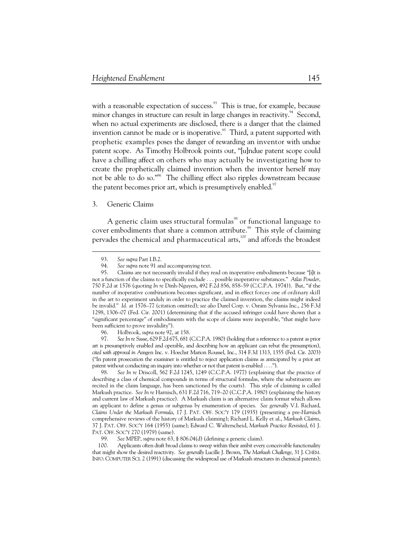with a reasonable expectation of success.<sup>93</sup> This is true, for example, because minor changes in structure can result in large changes in reactivity.<sup>94</sup> Second, when no actual experiments are disclosed, there is a danger that the claimed invention cannot be made or is inoperative.<sup>95</sup> Third, a patent supported with prophetic examples poses the danger of rewarding an inventor with undue patent scope. As Timothy Holbrook points out, "[u]ndue patent scope could have a chilling affect on others who may actually be investigating how to create the prophetically claimed invention when the inventor herself may not be able to do so."96 The chilling effect also ripples downstream because the patent becomes prior art, which is presumptively enabled.<sup>97</sup>

## 3. Generic Claims

A generic claim uses structural formulas<sup>98</sup> or functional language to cover embodiments that share a common attribute.<sup>99</sup> This style of claiming pervades the chemical and pharmaceutical arts, $100$  and affords the broadest

 $\ddot{\phantom{a}}$ 

 97. *See In re* Sasse, 629 F.2d 675, 681 (C.C.P.A. 1980) (holding that a reference to a patent as prior art is presumptively enabled and operable, and describing how an applicant can rebut the presumption), *cited with approval in* Amgen Inc. v. Hoechst Marion Roussel, Inc., 314 F.3d 1313, 1355 (Fed. Cir. 2003) ("In patent prosecution the examiner is entitled to reject application claims as anticipated by a prior art patent without conducting an inquiry into whether or not that patent is enabled . . . .").

 98. *See In re* Driscoll, 562 F.2d 1245, 1249 (C.C.P.A. 1977) (explaining that the practice of describing a class of chemical compounds in terms of structural formulas, where the substituents are recited in the claim language, has been sanctioned by the courts). This style of claiming is called Markush practice. *See In re* Harnisch, 631 F.2d 716, 719–20 (C.C.P.A. 1980) (explaining the history and current law of Markush practice). A Markush claim is an alternative claim format which allows an applicant to define a genus or subgenus by enumeration of species. *See generally* V.I. Richard, *Claims Under the Markush Formula*, 17 J. PAT. OFF. SOC'Y 179 (1935) (presenting a pre-*Harnisch* comprehensive reviews of the history of Markush claiming); Richard L. Kelly et al., *Markush Claims*, 37 J. PAT. OFF. SOC'Y 164 (1955) (same); Edward C. Walterscheid, *Markush Practice Revisited*, 61 J. PAT. OFF. SOC'Y 270 (1979) (same).

 100. Applicants often draft broad claims to sweep within their ambit every conceivable functionality that might show the desired reactivity. *See generally* Lucille J. Brown, *The Markush Challenge*, 31 J. CHEM. INFO. COMPUTER SCI. 2 (1991) (discussing the widespread use of Markush structures in chemical patents);

 <sup>93.</sup> *See supra* Part I.B.2.

 <sup>94.</sup> *See supra* note 91 and accompanying text.

 <sup>95.</sup> Claims are not necessarily invalid if they read on inoperative embodiments because "[i]t is not a function of the claims to specifically exclude . . . possible inoperative substances." *Atlas Powder*, 750 F.2d at 1576 (quoting *In re* Dinh-Nguyen, 492 F.2d 856, 858–59 (C.C.P.A. 1974)). But, "if the number of inoperative combinations becomes significant, and in effect forces one of ordinary skill in the art to experiment unduly in order to practice the claimed invention, the claims might indeed be invalid." *Id.* at 1576–77 (citation omitted); *see also* Durel Corp. v. Osram Sylvania Inc., 256 F.3d 1298, 1306–07 (Fed. Cir. 2001) (determining that if the accused infringer could have shown that a "significant percentage" of embodiments with the scope of claims were inoperable, "that might have been sufficient to prove invalidity").

 <sup>96.</sup> Holbrook, *supra* note 92, at 158.

 <sup>99.</sup> *See* MPEP, *supra* note 63, § 806.04(d) (defining a generic claim).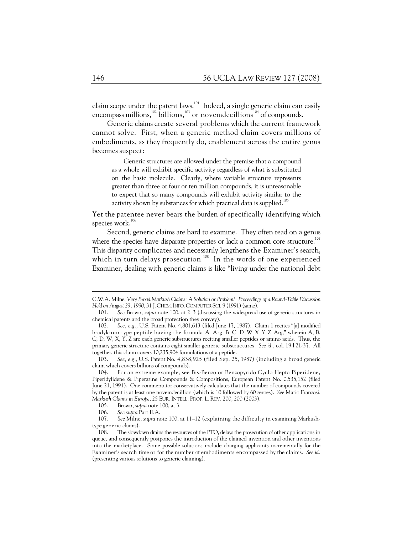claim scope under the patent laws.<sup>101</sup> Indeed, a single generic claim can easily encompass millions, $\frac{102}{2}$  billions, $\frac{103}{2}$  or novemdecillions<sup>104</sup> of compounds.

Generic claims create several problems which the current framework cannot solve. First, when a generic method claim covers millions of embodiments, as they frequently do, enablement across the entire genus becomes suspect:

Generic structures are allowed under the premise that a compound as a whole will exhibit specific activity regardless of what is substituted on the basic molecule. Clearly, where variable structure represents greater than three or four or ten million compounds, it is unreasonable to expect that so many compounds will exhibit activity similar to the activity shown by substances for which practical data is supplied.<sup>105</sup>

Yet the patentee never bears the burden of specifically identifying which species work.<sup>106</sup>

Second, generic claims are hard to examine. They often read on a genus where the species have disparate properties or lack a common core structure.<sup>107</sup> This disparity complicates and necessarily lengthens the Examiner's search, which in turn delays prosecution.<sup>108</sup> In the words of one experienced Examiner, dealing with generic claims is like "living under the national debt

G.W.A. Milne, *Very Broad Markush Claims; A Solution or Problem? Proceedings of a Round-Table Discussion Held on August 29, 1990*, 31 J.CHEM.INFO.COMPUTER SCI. 9 (1991) (same).

 <sup>101.</sup> *See* Brown, *supra* note 100, at 2–3 (discussing the widespread use of generic structures in chemical patents and the broad protection they convey).

 <sup>102.</sup> *See, e.g.*, U.S. Patent No. 4,801,613 (filed June 17, 1987). Claim 1 recites "[a] modified bradykinin type peptide having the formula A–Arg–B–C–D–W–X–Y–Z–Arg," wherein A, B, C, D, W, X, Y, Z are each generic substructures reciting smaller peptides or amino acids. Thus, the primary generic structure contains eight smaller generic substructures. *See id.*, col. 19 l.21-37. All together, this claim covers 10,235,904 formulations of a peptide.

 <sup>103.</sup> *See, e.g.*, U.S. Patent No. 4,838,925 (filed Sep. 25, 1987) (including a broad generic claim which covers billions of compounds).

 <sup>104.</sup> For an extreme example, see Bis-Benzo or Benzopyrido Cyclo Hepta Piperidene, Piperidylidene & Piperazine Compounds & Compositions, European Patent No. 0,535,152 (filed June 21, 1991). One commentator conservatively calculates that the number of compounds covered by the patent is at least one novemdecillion (which is 10 followed by 60 zeroes). *See* Mario Franzosi, *Markush Claims in Europe*, 25 EUR. INTELL. PROP. L. REV. 200, 200 (2003).

 <sup>105.</sup> Brown, *supra* note 100, at 3.

 <sup>106.</sup> *See supra* Part II.A.

 <sup>107.</sup> *See* Milne, *supra* note 100, at 11–12 (explaining the difficulty in examining Markushtype generic claims).

 <sup>108.</sup> The slowdown drains the resources of the PTO, delays the prosecution of other applications in queue, and consequently postpones the introduction of the claimed invention and other inventions into the marketplace. Some possible solutions include charging applicants incrementally for the Examiner's search time or for the number of embodiments encompassed by the claims. *See id.* (presenting various solutions to generic claiming).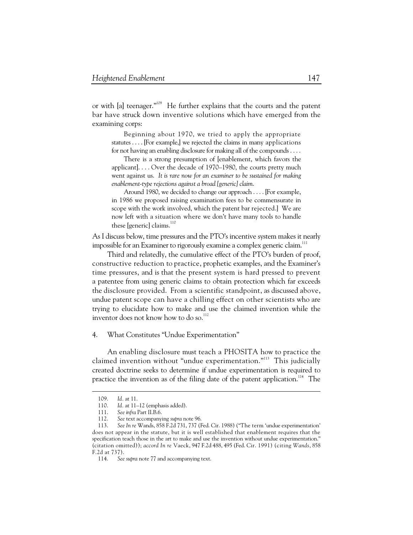or with [a] teenager."<sup>109</sup> He further explains that the courts and the patent bar have struck down inventive solutions which have emerged from the examining corps:

Beginning about 1970, we tried to apply the appropriate statutes . . . . [For example,] we rejected the claims in many applications for not having an enabling disclosure for making all of the compounds . . . .

There is a strong presumption of [enablement, which favors the applicant]. . . . Over the decade of 1970–1980, the courts pretty much went against us. *It is rare now for an examiner to be sustained for making enablement-type rejections against a broad [generic] claim*.

Around 1980, we decided to change our approach . . . . [For example, in 1986 we proposed raising examination fees to be commensurate in scope with the work involved, which the patent bar rejected.] We are now left with a situation where we don't have many tools to handle these [generic] claims.<sup>110</sup>

As I discuss below, time pressures and the PTO's incentive system makes it nearly impossible for an Examiner to rigorously examine a complex generic claim.<sup>111</sup>

Third and relatedly, the cumulative effect of the PTO's burden of proof, constructive reduction to practice, prophetic examples, and the Examiner's time pressures, and is that the present system is hard pressed to prevent a patentee from using generic claims to obtain protection which far exceeds the disclosure provided. From a scientific standpoint, as discussed above, undue patent scope can have a chilling effect on other scientists who are trying to elucidate how to make and use the claimed invention while the inventor does not know how to do so.<sup>112</sup>

4. What Constitutes "Undue Experimentation"

An enabling disclosure must teach a PHOSITA how to practice the claimed invention without "undue experimentation."113 This judicially created doctrine seeks to determine if undue experimentation is required to practice the invention as of the filing date of the patent application.<sup>114</sup> The

 <sup>109.</sup> *Id.* at 11.

Id. at 11-12 (emphasis added).

 <sup>111.</sup> *See infra* Part II.B.6.

 <sup>112.</sup> *See* text accompanying *supra* note 96.

 <sup>113.</sup> *See In re* Wands, 858 F.2d 731, 737 (Fed. Cir. 1988) ("The term 'undue experimentation' does not appear in the statute, but it is well established that enablement requires that the specification teach those in the art to make and use the invention without undue experimentation." (citation omitted)); *accord In re* Vaeck, 947 F.2d 488, 495 (Fed. Cir. 1991) (citing *Wands*, 858 F.2d at 737).

 <sup>114.</sup> *See supra* note 77 and accompanying text.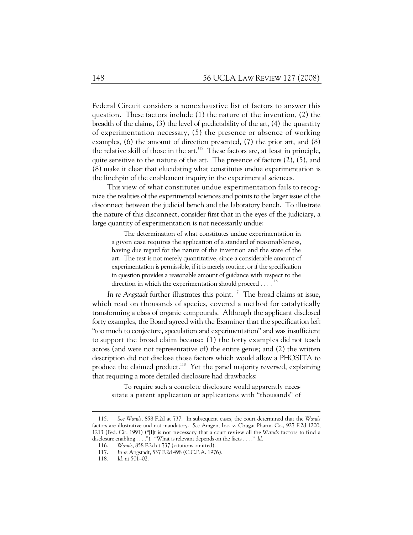Federal Circuit considers a nonexhaustive list of factors to answer this question. These factors include (1) the nature of the invention, (2) the breadth of the claims, (3) the level of predictability of the art, (4) the quantity of experimentation necessary, (5) the presence or absence of working examples, (6) the amount of direction presented, (7) the prior art, and (8) the relative skill of those in the art.115 These factors are, at least in principle, quite sensitive to the nature of the art. The presence of factors (2), (5), and (8) make it clear that elucidating what constitutes undue experimentation is the linchpin of the enablement inquiry in the experimental sciences.

This view of what constitutes undue experimentation fails to recognize the realities of the experimental sciences and points to the larger issue of the disconnect between the judicial bench and the laboratory bench. To illustrate the nature of this disconnect, consider first that in the eyes of the judiciary, a large quantity of experimentation is not necessarily undue:

The determination of what constitutes undue experimentation in a given case requires the application of a standard of reasonableness, having due regard for the nature of the invention and the state of the art. The test is not merely quantitative, since a considerable amount of experimentation is permissible, if it is merely routine, or if the specification in question provides a reasonable amount of guidance with respect to the direction in which the experimentation should proceed . . . .<sup>116</sup>

In re Angstadt further illustrates this point.<sup>117</sup> The broad claims at issue, which read on thousands of species, covered a method for catalytically transforming a class of organic compounds. Although the applicant disclosed forty examples, the Board agreed with the Examiner that the specification left "too much to conjecture, speculation and experimentation" and was insufficient to support the broad claim because: (1) the forty examples did not teach across (and were not representative of) the entire genus; and (2) the written description did not disclose those factors which would allow a PHOSITA to produce the claimed product.<sup>118</sup> Yet the panel majority reversed, explaining that requiring a more detailed disclosure had drawbacks:

To require such a complete disclosure would apparently necessitate a patent application or applications with "thousands" of

 <sup>115.</sup> *See Wands*, 858 F.2d at 737. In subsequent cases, the court determined that the *Wands* factors are illustrative and not mandatory. *See* Amgen, Inc. v. Chugai Pharm. Co., 927 F.2d 1200, 1213 (Fed. Cir. 1991) ("[I]t is not necessary that a court review all the *Wands* factors to find a disclosure enabling . . . ."). "What is relevant depends on the facts . . . ." *Id.* 

 <sup>116.</sup> *Wands*, 858 F.2d at 737 (citations omitted).

 <sup>117.</sup> *In re* Angstadt, 537 F.2d 498 (C.C.P.A. 1976).

 <sup>118.</sup> *Id.* at 501–02.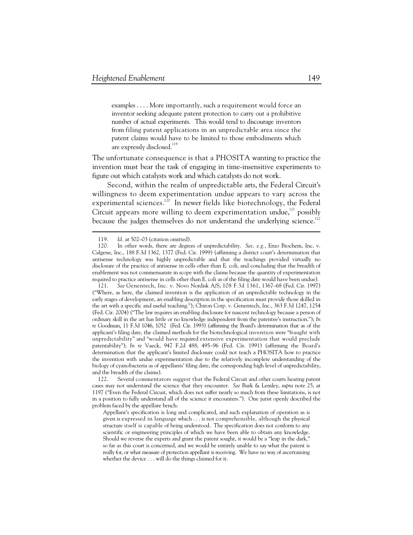examples . . . . More importantly, such a requirement would force an inventor seeking adequate patent protection to carry out a prohibitive number of actual experiments. This would tend to discourage inventors from filing patent applications in an unpredictable area since the patent claims would have to be limited to those embodiments which are expressly disclosed.<sup>119</sup>

The unfortunate consequence is that a PHOSITA wanting to practice the invention must bear the task of engaging in time-insensitive experiments to figure out which catalysts work and which catalysts do not work.

Second, within the realm of unpredictable arts, the Federal Circuit's willingness to deem experimentation undue appears to vary across the experimental sciences.<sup>120</sup> In newer fields like biotechnology, the Federal Circuit appears more willing to deem experimentation undue,<sup>121</sup> possibly because the judges themselves do not understand the underlying science.<sup>122</sup>

 <sup>119.</sup> *Id.* at 502–03 (citation omitted).

 <sup>120.</sup> In other words, there are degrees of unpredictability. *See, e.g.*, Enzo Biochem, Inc. v. Calgene, Inc., 188 F.3d 1362, 1377 (Fed. Cir. 1999) (affirming a district court's determination that antisense technology was highly unpredictable and that the teachings provided virtually no disclosure of the practice of antisense in cells other than E. coli, and concluding that the breadth of enablement was not commensurate in scope with the claims because the quantity of experimentation required to practice antisense in cells other than E. coli as of the filing date would have been undue).

 <sup>121.</sup> *See* Genentech, Inc. v. Novo Nordisk A/S, 108 F.3d 1361, 1367–68 (Fed. Cir. 1997) ("Where, as here, the claimed invention is the application of an unpredictable technology in the early stages of development, an enabling description in the specification must provide those skilled in the art with a specific and useful teaching."); Chiron Corp. v. Genentech, Inc., 363 F.3d 1247, 1254 (Fed. Cir. 2004) ("The law requires an enabling disclosure for nascent technology because a person of ordinary skill in the art has little or no knowledge independent from the patentee's instruction."); *In re* Goodman, 11 F.3d 1046, 1052 (Fed. Cir. 1993) (affirming the Board's determination that as of the applicant's filing date, the claimed methods for the biotechnological invention were "fraught with unpredictability" and "would have required extensive experimentation that would preclude patentability"); *In re* Vaeck, 947 F.2d 488, 495–96 (Fed. Cir. 1991) (affirming the Board's determination that the applicant's limited disclosure could not teach a PHOSITA how to practice the invention with undue experimentation due to the relatively incomplete understanding of the biology of cyanobacteria as of appellants' filing date, the corresponding high level of unpredictability, and the breadth of the claims).

 <sup>122.</sup> Several commentators suggest that the Federal Circuit and other courts hearing patent cases may not understand the science that they encounter. *See* Burk & Lemley, *supra* note 25, at 1197 ("Even the Federal Circuit, which does not suffer nearly so much from these limitations, is not in a position to fully understand all of the science it encounters."). One jurist openly described the problem faced by the appellate bench:

Appellant's specification is long and complicated, and such explanation of operation as is given is expressed in language which . . . is not comprehensible, although the physical structure itself is capable of being understood. The specification does not conform to any scientific or engineering principles of which we have been able to obtain any knowledge. Should we reverse the experts and grant the patent sought, it would be a "leap in the dark," so far as this court is concerned, and we would be entirely unable to say what the patent is really for, or what measure of protection appellant is receiving. We have no way of ascertaining whether the device . . . will do the things claimed for it.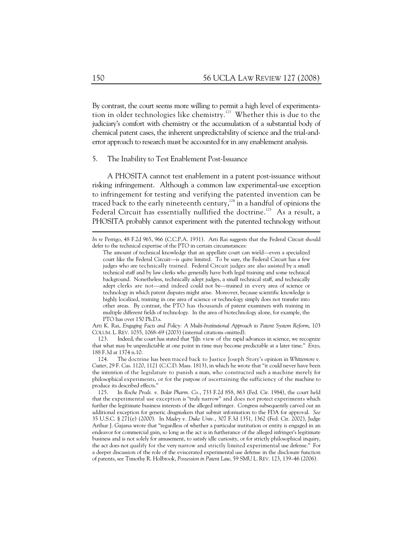By contrast, the court seems more willing to permit a high level of experimentation in older technologies like chemistry.<sup>123</sup> Whether this is due to the judiciary's comfort with chemistry or the accumulation of a substantial body of chemical patent cases, the inherent unpredictability of science and the trial-anderror approach to research must be accounted for in any enablement analysis.

#### 5. The Inability to Test Enablement Post-Issuance

A PHOSITA cannot test enablement in a patent post-issuance without risking infringement. Although a common law experimental-use exception to infringement for testing and verifying the patented invention can be traced back to the early nineteenth century, $124$  in a handful of opinions the Federal Circuit has essentially nullified the doctrine.<sup>125</sup> As a result, a PHOSITA probably cannot experiment with the patented technology without

 123. Indeed, the court has stated that "[i]n view of the rapid advances in science, we recognize that what may be unpredictable at one point in time may become predictable at a later time." *Enzo*, 188 F.3d at 1374 n.10.

 124. The doctrine has been traced back to Justice Joseph Story's opinion in *Whittemore v. Cutter*, 29 F. Cas. 1120, 1121 (C.C.D. Mass. 1813), in which he wrote that "it could never have been the intention of the legislature to punish a man, who constructed such a machine merely for philosophical experiments, or for the purpose of ascertaining the sufficiency of the machine to produce its described effects."

 125. In *Roche Prods. v. Bolar Pharm. Co.*, 733 F.2d 858, 863 (Fed. Cir. 1984), the court held that the experimental use exception is "truly narrow" and does not protect experiments which further the legitimate business interests of the alleged infringer. Congress subsequently carved out an additional exception for generic drugmakers that submit information to the FDA for approval. *See* 35 U.S.C. § 271(e) (2000). In *Madey v. Duke Univ.*, 307 F.3d 1351, 1362 (Fed. Cir. 2002), Judge Arthur J. Gajarsa wrote that "regardless of whether a particular institution or entity is engaged in an endeavor for commercial gain, so long as the act is in furtherance of the alleged infringer's legitimate business and is not solely for amusement, to satisfy idle curiosity, or for strictly philosophical inquiry, the act does not qualify for the very narrow and strictly limited experimental use defense." For a deeper discussion of the role of the eviscerated experimental use defense in the disclosure function of patents, see Timothy R. Holbrook, *Possession in Patent Law*, 59 SMU L. REV. 123, 139–46 (2006).

*In re* Perrigo, 48 F.2d 965, 966 (C.C.P.A. 1931). Arti Rai suggests that the Federal Circuit should defer to the technical expertise of the PTO in certain circumstances:

The amount of technical knowledge that an appellate court can wield—even a specialized court like the Federal Circuit—is quite limited. To be sure, the Federal Circuit has a few judges who are technically trained. Federal Circuit judges are also assisted by a small technical staff and by law clerks who generally have both legal training and some technical background. Nonetheless, technically adept judges, a small technical staff, and technically adept clerks are not—and indeed could not be—trained in every area of science or technology in which patent disputes might arise. Moreover, because scientific knowledge is highly localized, training in one area of science or technology simply does not transfer into other areas. By contrast, the PTO has thousands of patent examiners with training in multiple different fields of technology. In the area of biotechnology alone, for example, the PTO has over 150 Ph.D.s.

Arti K. Rai, *Engaging Facts and Policy: A Multi-Institutional Approach to Patent System Reform*, 103 COLUM. L. REV. 1035, 1068–69 (2003) (internal citations omitted).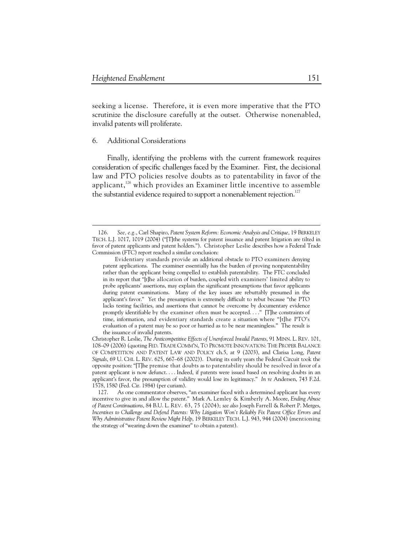seeking a license. Therefore, it is even more imperative that the PTO scrutinize the disclosure carefully at the outset. Otherwise nonenabled, invalid patents will proliferate.

# 6. Additional Considerations

 $\ddot{\phantom{a}}$ 

Finally, identifying the problems with the current framework requires consideration of specific challenges faced by the Examiner. First, the decisional law and PTO policies resolve doubts as to patentability in favor of the applicant, $126$  which provides an Examiner little incentive to assemble the substantial evidence required to support a nonenablement rejection.<sup>127</sup>

 <sup>126.</sup> *See, e.g.*, Carl Shapiro, *Patent System Reform: Economic Analysis and Critique*, 19 BERKELEY TECH. L.J. 1017, 1019 (2004) ("[T]the systems for patent issuance and patent litigation are tilted in favor of patent applicants and patent holders."). Christopher Leslie describes how a Federal Trade Commission (FTC) report reached a similar conclusion:

Evidentiary standards provide an additional obstacle to PTO examiners denying patent applications. The examiner essentially has the burden of proving nonpatentability rather than the applicant being compelled to establish patentability. The FTC concluded in its report that "[t]he allocation of burden, coupled with examiners' limited ability to probe applicants' assertions, may explain the significant presumptions that favor applicants during patent examinations. Many of the key issues are rebuttably presumed in the applicant's favor." Yet the presumption is extremely difficult to rebut because "the PTO lacks testing facilities, and assertions that cannot be overcome by documentary evidence promptly identifiable by the examiner often must be accepted. . . ." [T]he constraints of time, information, and evidentiary standards create a situation where "[t]he PTO's evaluation of a patent may be so poor or hurried as to be near meaningless." The result is the issuance of invalid patents.

Christopher R. Leslie, *The Anticompetitive Effects of Unenforced Invalid Patents*, 91 MINN. L. REV. 101, 108–09 (2006) (quoting FED. TRADE COMM'N, TO PROMOTE INNOVATION: THE PROPER BALANCE OF COMPETITION AND PATENT LAW AND POLICY ch.5, at 9 (2003), and Clarisa Long, *Patent Signals*, 69 U. CHI. L. REV. 625, 667–68 (2002)). During its early years the Federal Circuit took the opposite position: "[T]he premise that doubts as to patentability should be resolved in favor of a patent applicant is now defunct. . . . Indeed, if patents were issued based on resolving doubts in an applicant's favor, the presumption of validity would lose its legitimacy." *In re* Andersen, 743 F.2d. 1578, 1580 (Fed. Cir. 1984) (per curiam).

 <sup>127.</sup> As one commentator observes, "an examiner faced with a determined applicant has every incentive to give in and allow the patent." Mark A. Lemley & Kimberly A. Moore, *Ending Abuse of Patent Continuations*, 84 B.U. L. REV. 63, 75 (2004); *see also* Joseph Farrell & Robert P. Merges, *Incentives to Challenge and Defend Patents: Why Litigation Won't Reliably Fix Patent Office Errors and Why Administrative Patent Review Might Help*, 19 BERKELEY TECH. L.J. 943, 944 (2004) (mentioning the strategy of "wearing down the examiner" to obtain a patent).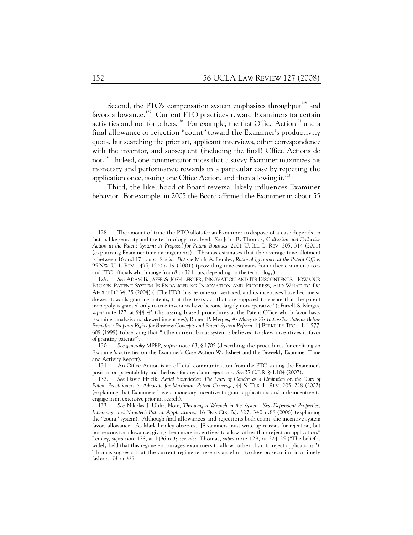Second, the PTO's compensation system emphasizes throughput<sup>128</sup> and favors allowance.<sup>129</sup> Current PTO practices reward Examiners for certain activities and not for others.<sup>130</sup> For example, the first Office Action<sup>131</sup> and a final allowance or rejection "count" toward the Examiner's productivity quota, but searching the prior art, applicant interviews, other correspondence with the inventor, and subsequent (including the final) Office Actions do not.132 Indeed, one commentator notes that a savvy Examiner maximizes his monetary and performance rewards in a particular case by rejecting the application once, issuing one Office Action, and then allowing it. $^{133}$ 

Third, the likelihood of Board reversal likely influences Examiner behavior. For example, in 2005 the Board affirmed the Examiner in about 55

 <sup>128.</sup> The amount of time the PTO allots for an Examiner to dispose of a case depends on factors like seniority and the technology involved. *See* John R. Thomas, *Collusion and Collective Action in the Patent System: A Proposal for Patent Bounties*, 2001 U. ILL. L. REV. 305, 314 (2001) (explaining Examiner time management). Thomas estimates that the average time allotment is between 16 and 17 hours. *See id. But see* Mark A. Lemley, *Rational Ignorance at the Patent Office*, 95 NW. U. L. REV. 1495, 1500 n.19 (2001) (providing time estimates from other commentators and PTO officials which range from 8 to 32 hours, depending on the technology).

 <sup>129.</sup> *See* ADAM B. JAFFE & JOSH LERNER, INNOVATION AND ITS DISCONTENTS: HOW OUR BROKEN PATENT SYSTEM IS ENDANGERING INNOVATION AND PROGRESS, AND WHAT TO DO ABOUT IT? 34–35 (2004) ("[The PTO] has become so overtaxed, and its incentives have become so skewed towards granting patents, that the tests . . . that are supposed to ensure that the patent monopoly is granted only to true inventors have become largely non-operative."); Farrell & Merges, *supra* note 127, at 944–45 (discussing biased procedures at the Patent Office which favor hasty Examiner analysis and skewed incentives); Robert P. Merges, *As Many as Six Impossible Patents Before Breakfast: Property Rights for Business Concepts and Patent System Reform*, 14 BERKELEY TECH. L.J. 577, 609 (1999) (observing that "[t]he current bonus system is believed to skew incentives in favor of granting patents").

 <sup>130.</sup> *See generally* MPEP, *supra* note 63, § 1705 (describing the procedures for crediting an Examiner's activities on the Examiner's Case Action Worksheet and the Biweekly Examiner Time and Activity Report).

 <sup>131.</sup> An Office Action is an official communication from the PTO stating the Examiner's position on patentability and the basis for any claim rejections. *See* 37 C.F.R. § 1.104 (2007).

 <sup>132.</sup> *See* David Hricik, *Aerial Boundaries: The Duty of Candor as a Limitation on the Duty of Patent Practitioners to Advocate for Maximum Patent Coverage*, 44 S. TEX. L. REV. 205, 228 (2002) (explaining that Examiners have a monetary incentive to grant applications and a disincentive to engage in an extensive prior art search).

 <sup>133.</sup> *See* Nikolas J. Uhlir, Note, *Throwing a Wrench in the System: Size-Dependent Properties, Inherency, and Nanotech Patent Applications*, 16 FED. CIR. B.J. 327, 340 n.88 (2006) (explaining the "count" system). Although final allowances and rejections both count, the incentive system favors allowance. As Mark Lemley observes, "[E]xaminers must write up reasons for rejection, but not reasons for allowance, giving them more incentives to allow rather than reject an application." Lemley, *supra* note 128, at 1496 n.3; *see also* Thomas, *supra* note 128, at 324–25 ("The belief is widely held that this regime encourages examiners to allow rather than to reject applications."). Thomas suggests that the current regime represents an effort to close prosecution in a timely fashion. *Id.* at 325.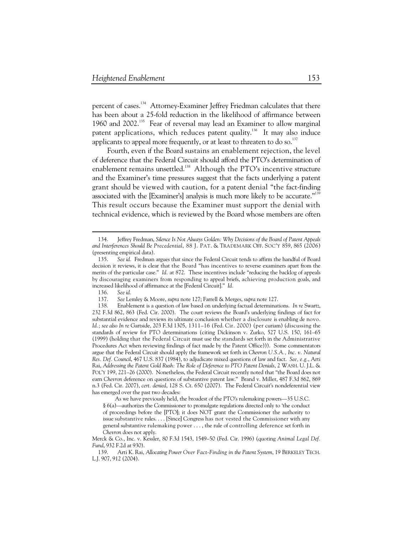percent of cases.<sup>134</sup> Attorney-Examiner Jeffrey Friedman calculates that there has been about a 25-fold reduction in the likelihood of affirmance between 1960 and 2002.135 Fear of reversal may lead an Examiner to allow marginal patent applications, which reduces patent quality.<sup>136</sup> It may also induce applicants to appeal more frequently, or at least to threaten to do so.<sup>137</sup>

Fourth, even if the Board sustains an enablement rejection, the level of deference that the Federal Circuit should afford the PTO's determination of enablement remains unsettled.<sup>138</sup> Although the PTO's incentive structure and the Examiner's time pressures suggest that the facts underlying a patent grant should be viewed with caution, for a patent denial "the fact-finding associated with the [Examiner's] analysis is much more likely to be accurate."<sup>139</sup> This result occurs because the Examiner must support the denial with technical evidence, which is reviewed by the Board whose members are often

-

As we have previously held, the broadest of the PTO's rulemaking powers—35 U.S.C. § 6(a)—authorizes the Commissioner to promulgate regulations directed only to 'the conduct of proceedings before the [PTO]; it does NOT grant the Commissioner the authority to issue substantive rules. . . . [Since] Congress has not vested the Commissioner with any general substantive rulemaking power . . . , the rule of controlling deference set forth in *Chevron* does not apply.

 <sup>134.</sup> Jeffrey Fredman, *Silence Is Not Always Golden: Why Decisions of the Board of Patent Appeals and Interferences Should Be Precedential*, 88 J. PAT. & TRADEMARK OFF. SOC'Y 859, 865 (2006) (presenting empirical data).

 <sup>135.</sup> *See id.* Fredman argues that since the Federal Circuit tends to affirm the handful of Board decision it reviews, it is clear that the Board "has incentives to reverse examiners apart from the merits of the particular case." *Id.* at 872. These incentives include "reducing the backlog of appeals by discouraging examiners from responding to appeal briefs, achieving production goals, and increased likelihood of affirmance at the [Federal Circuit]." *Id.*

 <sup>136.</sup> *See id.*

 <sup>137.</sup> *See* Lemley & Moore, *supra* note 127; Farrell & Merges, *supra* note 127.

 <sup>138.</sup> Enablement is a question of law based on underlying factual determinations. *In re* Swartz, 232 F.3d 862, 863 (Fed. Cir. 2000). The court reviews the Board's underlying findings of fact for substantial evidence and reviews its ultimate conclusion whether a disclosure is enabling de novo. *Id.; see also In re* Gartside, 203 F.3d 1305, 1311–16 (Fed. Cir. 2000) (per curiam) (discussing the standards of review for PTO determinations (citing Dickinson v. Zurko, 527 U.S. 150, 161–65 (1999) (holding that the Federal Circuit must use the standards set forth in the Administrative Procedures Act when reviewing findings of fact made by the Patent Office))). Some commentators argue that the Federal Circuit should apply the framework set forth in *Chevron U.S.A., Inc. v. Natural Res. Def. Council*, 467 U.S. 837 (1984), to adjudicate mixed questions of law and fact. *See, e.g.*, Arti Rai, *Addressing the Patent Gold Rush: The Role of Deference to PTO Patent Denials*, 2 WASH. U. J.L. & POL'Y 199, 221–26 (2000). Nonetheless, the Federal Circuit recently noted that "the Board does not earn *Chevron* deference on questions of substantive patent law." Brand v. Miller, 487 F.3d 862, 869 n.3 (Fed. Cir. 2007), *cert. denied*, 128 S. Ct. 650 (2007). The Federal Circuit's nondeferential view has emerged over the past two decades:

Merck & Co., Inc. v. Kessler, 80 F.3d 1543, 1549–50 (Fed. Cir. 1996) (quoting *Animal Legal Def. Fund*, 932 F.2d at 930).

 <sup>139.</sup> Arti K. Rai, *Allocating Power Over Fact-Finding in the Patent System*, 19 BERKELEY TECH. L.J. 907, 912 (2004).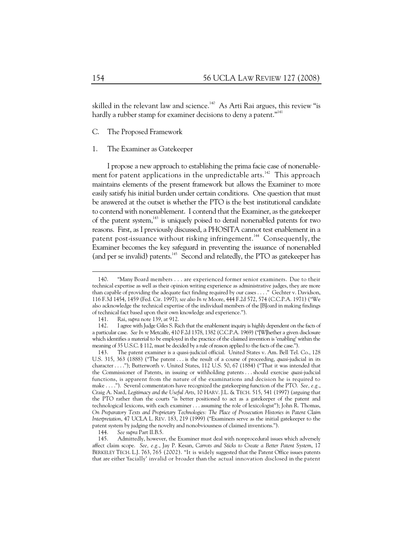skilled in the relevant law and science.<sup>140</sup> As Arti Rai argues, this review "is hardly a rubber stamp for examiner decisions to deny a patent."<sup>141</sup>

#### C. The Proposed Framework

## 1. The Examiner as Gatekeeper

I propose a new approach to establishing the prima facie case of nonenablement for patent applications in the unpredictable arts.<sup>142</sup> This approach maintains elements of the present framework but allows the Examiner to more easily satisfy his initial burden under certain conditions. One question that must be answered at the outset is whether the PTO is the best institutional candidate to contend with nonenablement. I contend that the Examiner, as the gatekeeper of the patent system,<sup>143</sup> is uniquely poised to derail nonenabled patents for two reasons. First, as I previously discussed, a PHOSITA cannot test enablement in a patent post-issuance without risking infringement.<sup>144</sup> Consequently, the Examiner becomes the key safeguard in preventing the issuance of nonenabled (and per se invalid) patents.<sup>145</sup> Second and relatedly, the PTO as gatekeeper has

 <sup>140. &</sup>quot;Many Board members . . . are experienced former senior examiners. Due to their technical expertise as well as their opinion writing experience as administrative judges, they are more than capable of providing the adequate fact finding required by our cases . . . ." Gechter v. Davidson, 116 F.3d 1454, 1459 (Fed. Cir. 1997); *see also In re* Moore, 444 F.2d 572, 574 (C.C.P.A. 1971) ("We also acknowledge the technical expertise of the individual members of the [B]oard in making findings of technical fact based upon their own knowledge and experience.").

 <sup>141.</sup> Rai, *supra* note 139, at 912.

 <sup>142.</sup> I agree with Judge Giles S. Rich that the enablement inquiry is highly dependent on the facts of a particular case. *See In re* Metcalfe, 410 F.2d 1378, 1382 (C.C.P.A. 1969) ("[W]hether a given disclosure which identifies a material to be employed in the practice of the claimed invention is 'enabling' within the meaning of 35 U.S.C. § 112, must be decided by a rule of reason applied to the facts of the case.").

 <sup>143.</sup> The patent examiner is a quasi-judicial official. United States v. Am. Bell Tel. Co., 128 U.S. 315, 363 (1888) ("The patent . . . is the result of a course of proceeding, *quasi*-judicial in its character . . . ."); Butterworth v. United States, 112 U.S. 50, 67 (1884) ("That it was intended that the Commissioner of Patents, in issuing or withholding patents . . . should exercise *quasi*-judicial functions, is apparent from the nature of the examinations and decision he is required to make . . . ."). Several commentators have recognized the gatekeeping function of the PTO. *See, e.g.*, Craig A. Nard, *Legitimacy and the Useful Arts*, 10 HARV. J.L. & TECH. 515, 541 (1997) (arguing that the PTO rather than the courts "is better positioned to act as a gatekeeper of the patent and technological lexicons, with each examiner . . . assuming the role of lexicologist"); John R. Thomas, *On Preparatory Texts and Proprietary Technologies: The Place of Prosecution Histories in Patent Claim Interpretation*, 47 UCLA L. REV. 183, 219 (1999) ("Examiners serve as the initial gatekeeper to the patent system by judging the novelty and nonobviousness of claimed inventions.").

 <sup>144.</sup> *See supra* Part II.B.5.

 <sup>145.</sup> Admittedly, however, the Examiner must deal with nonprocedural issues which adversely affect claim scope. *See, e.g.*, Jay P. Kesan, *Carrots and Sticks to Create a Better Patent System*, 17 BERKELEY TECH. L.J. 763, 765 (2002). "It is widely suggested that the Patent Office issues patents that are either 'facially' invalid or broader than the actual innovation disclosed in the patent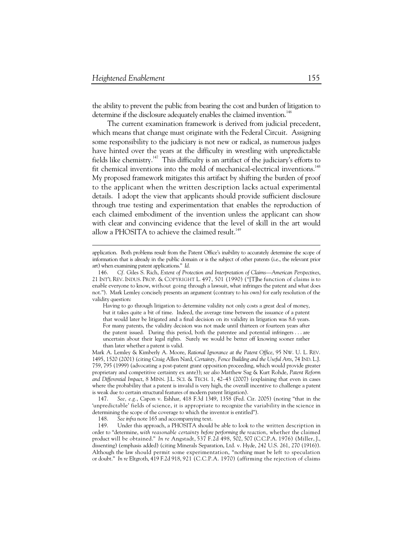$\ddot{\phantom{a}}$ 

the ability to prevent the public from bearing the cost and burden of litigation to determine if the disclosure adequately enables the claimed invention.<sup>146</sup>

The current examination framework is derived from judicial precedent, which means that change must originate with the Federal Circuit. Assigning some responsibility to the judiciary is not new or radical, as numerous judges have hinted over the years at the difficulty in wrestling with unpredictable fields like chemistry.<sup>147</sup> This difficulty is an artifact of the judiciary's efforts to fit chemical inventions into the mold of mechanical-electrical inventions.<sup>148</sup> My proposed framework mitigates this artifact by shifting the burden of proof to the applicant when the written description lacks actual experimental details. I adopt the view that applicants should provide sufficient disclosure through true testing and experimentation that enables the reproduction of each claimed embodiment of the invention unless the applicant can show with clear and convincing evidence that the level of skill in the art would allow a PHOSITA to achieve the claimed result.<sup>149</sup>

Having to go through litigation to determine validity not only costs a great deal of money, but it takes quite a bit of time. Indeed, the average time between the issuance of a patent that would later be litigated and a final decision on its validity in litigation was 8.6 years. For many patents, the validity decision was not made until thirteen or fourteen years after the patent issued. During this period, both the patentee and potential infringers . . . are uncertain about their legal rights. Surely we would be better off knowing sooner rather than later whether a patent is valid.

Mark A. Lemley & Kimberly A. Moore, *Rational Ignorance at the Patent Office*, 95 NW. U. L. REV. 1495, 1520 (2001) (citing Craig Allen Nard, *Certainty, Fence Building and the Useful Arts*, 74 IND. L.J. 759, 795 (1999) (advocating a post-patent grant opposition proceeding, which would provide greater proprietary and competitive certainty ex ante)); *see also* Matthew Sag & Kurt Rohde, *Patent Reform and Differential Impact*, 8 MINN. J.L. SCI. & TECH. 1, 42–43 (2007) (explaining that even in cases where the probability that a patent is invalid is very high, the overall incentive to challenge a patent is weak due to certain structural features of modern patent litigation).

 147. *See, e.g.*, Capon v. Eshhar, 418 F.3d 1349, 1358 (Fed. Cir. 2005) (noting "that in the 'unpredictable' fields of science, it is appropriate to recognize the variability in the science in determining the scope of the coverage to which the inventor is entitled").

148. *See infra* note 165 and accompanying text.

 149. Under this approach, a PHOSITA should be able to look to the written description in order to "determine, *with reasonable certainty before performing the reaction*, whether the claimed product will be obtained." *In re* Angstadt, 537 F.2d 498, 502, 507 (C.C.P.A. 1976) (Miller, J., dissenting) (emphasis added) (citing Minerals Separation, Ltd. v. Hyde, 242 U.S. 261, 270 (1916)). Although the law should permit some experimentation, "nothing must be left to speculation or doubt." *In re* Eltgroth, 419 F.2d 918, 921 (C.C.P.A. 1970) (affirming the rejection of claims

application. Both problems result from the Patent Office's inability to accurately determine the scope of information that is already in the public domain or is the subject of other patents (i.e., the relevant prior art) when examining patent applications." *Id.*

 <sup>146.</sup> *Cf.* Giles S. Rich, *Extent of Protection and Interpretation of Claims—American Perspectives*, 21 INT'L REV. INDUS. PROP. & COPYRIGHT L. 497, 501 (1990) ("[T]he function of claims is to enable everyone to know, without going through a lawsuit, what infringes the patent and what does not."). Mark Lemley concisely presents an argument (contrary to his own) for early resolution of the validity question: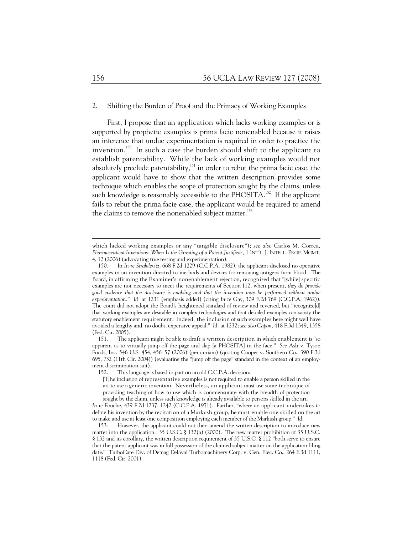### 2. Shifting the Burden of Proof and the Primacy of Working Examples

First, I propose that an application which lacks working examples or is supported by prophetic examples is prima facie nonenabled because it raises an inference that undue experimentation is required in order to practice the invention.150 In such a case the burden should shift to the applicant to establish patentability. While the lack of working examples would not absolutely preclude patentability,<sup>151</sup> in order to rebut the prima facie case, the applicant would have to show that the written description provides some technique which enables the scope of protection sought by the claims, unless such knowledge is reasonably accessible to the PHOSITA.<sup>152</sup> If the applicant fails to rebut the prima facie case, the applicant would be required to amend the claims to remove the nonenabled subject matter.<sup>153</sup>

which lacked working examples or any "tangible disclosure"); *see also* Carlos M. Correa, *Pharmaceutical Inventions: When Is the Granting of a Patent Justified?*, 1 INT'L. J. INTELL. PROP. MGMT. 4, 12 (2006) (advocating true testing and experimentation).

 <sup>150.</sup> In *In re Strahilevitz*, 668 F.2d 1229 (C.C.P.A. 1982), the applicant disclosed no operative examples in an invention directed to methods and devices for removing antigens from blood. The Board, in affirming the Examiner's nonenablement rejection, recognized that "[while] specific examples are not necessary to meet the requirements of Section 112, when present, *they do provide good evidence that the disclosure is enabling and that the invention may be performed without undue experimentation.*" *Id.* at 1231 (emphasis added) (citing *In re* Gay, 309 F.2d 769 (C.C.P.A. 1962)). The court did not adopt the Board's heightened standard of review and reversed, but "recognize[d] that working examples are desirable in complex technologies and that detailed examples can satisfy the statutory enablement requirement. Indeed, the inclusion of such examples here might well have avoided a lengthy and, no doubt, expensive appeal." *Id.* at 1232; *see also Capon*, 418 F.3d 1349, 1358 (Fed. Cir. 2005).

 <sup>151.</sup> The applicant might be able to draft a written description in which enablement is "so apparent as to virtually jump off the page and slap [a PHOSITA] in the face." *See* Ash v. Tyson Foods, Inc. 546 U.S. 454, 456–57 (2006) (per curiam) (quoting Cooper v. Southern Co., 390 F.3d 695, 732 (11th Cir. 2004)) (evaluating the "jump off the page" standard in the context of an employment discrimination suit).

 <sup>152.</sup> This language is based in part on an old C.C.P.A. decision:

<sup>[</sup>T]he inclusion of representative examples is not required to enable a person skilled in the art to use a generic invention. Nevertheless, an applicant must use some technique of providing teaching of how to use which is commensurate with the breadth of protection sought by the claim, unless such knowledge is already available to persons skilled in the art.

*In re* Fouche, 439 F.2d 1237, 1242 (C.C.P.A. 1971). Further, "where an applicant undertakes to define his invention by the recitation of a Markush group, he must enable one skilled on the art to make and use at least one composition employing each member of the Markush group." *Id.*

 <sup>153.</sup> However, the applicant could not then amend the written description to introduce new matter into the application. 35 U.S.C. § 132(a) (2000). The new matter prohibition of 35 U.S.C. § 132 and its corollary, the written description requirement of 35 U.S.C. § 112 "both serve to ensure that the patent applicant was in full possession of the claimed subject matter on the application filing date." TurboCare Div. of Demag Delaval Turbomachinery Corp. v. Gen. Elec. Co., 264 F.3d 1111, 1118 (Fed. Cir. 2001).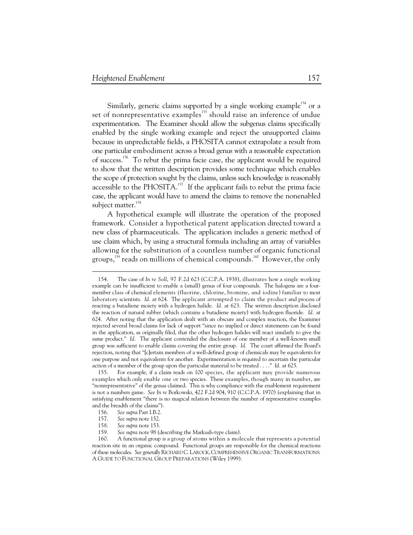Similarly, generic claims supported by a single working example<sup>154</sup> or a set of nonrepresentative examples<sup>155</sup> should raise an inference of undue experimentation. The Examiner should allow the subgenus claims specifically enabled by the single working example and reject the unsupported claims because in unpredictable fields, a PHOSITA cannot extrapolate a result from one particular embodiment across a broad genus with a reasonable expectation of success.156 To rebut the prima facie case, the applicant would be required to show that the written description provides some technique which enables the scope of protection sought by the claims, unless such knowledge is reasonably accessible to the PHOSITA.<sup>157</sup> If the applicant fails to rebut the prima facie case, the applicant would have to amend the claims to remove the nonenabled subject matter.<sup>158</sup>

A hypothetical example will illustrate the operation of the proposed framework. Consider a hypothetical patent application directed toward a new class of pharmaceuticals. The application includes a generic method of use claim which, by using a structural formula including an array of variables allowing for the substitution of a countless number of organic functional groups,<sup>159</sup> reads on millions of chemical compounds.<sup>160</sup> However, the only

 <sup>154.</sup> The case of *In re Soll*, 97 F.2d 623 (C.C.P.A. 1938), illustrates how a single working example can be insufficient to enable a (small) genus of four compounds. The halogens are a fourmember class of chemical elements (fluorine, chlorine, bromine, and iodine) familiar to most laboratory scientists. *Id.* at 624. The applicant attempted to claim the product and process of reacting a butadiene moiety with a hydrogen halide. *Id.* at 623. The written description disclosed the reaction of natural rubber (which contains a butadiene moiety) with hydrogen fluoride. *Id.* at 624. After noting that the application dealt with an obscure and complex reaction, the Examiner rejected several broad claims for lack of support "since no implied or direct statements can be found in the application, as originally filed, that the other hydrogen halides will react similarly to give the same product." *Id.* The applicant contended the disclosure of one member of a well-known small group was sufficient to enable claims covering the entire group. *Id.* The court affirmed the Board's rejection, noting that "[c]ertain members of a well-defined group of chemicals may be equivalents for one purpose and not equivalents for another. Experimentation is required to ascertain the particular action of a member of the group upon the particular material to be treated . . . ." *Id.* at 625.

 <sup>155.</sup> For example, if a claim reads on 100 species, the applicant may provide numerous examples which only enable one or two species. These examples, though many in number, are "nonrepresentative" of the genus claimed. This is why compliance with the enablement requirement is not a numbers game. *See In re* Borkowski, 422 F.2d 904, 910 (C.C.P.A. 1970) (explaining that in satisfying enablement "there is no magical relation between the number of representative examples and the breadth of the claims").

 <sup>156.</sup> *See supra* Part I.B.2.

 <sup>157.</sup> *See supra* note 152.

 <sup>158.</sup> *See supra* note 153.

 <sup>159.</sup> *See supra* note 98 (describing the Markush-type claim).

 <sup>160.</sup> A functional group is a group of atoms within a molecule that represents a potential reaction site in an organic compound. Functional groups are responsible for the chemical reactions of these molecules. *See generally* RICHARD C. LAROCK,COMPREHENSIVE ORGANIC TRANSFORMATIONS: A GUIDE TO FUNCTIONAL GROUP PREPARATIONS (Wiley 1999).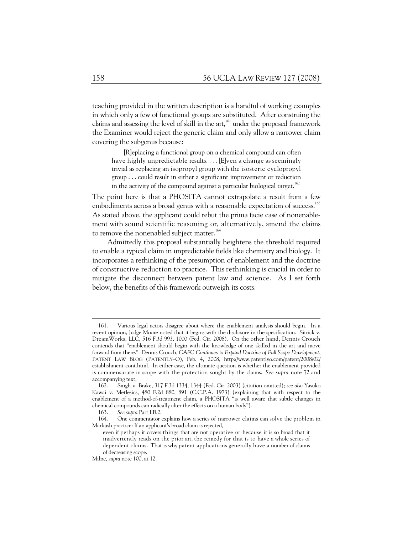teaching provided in the written description is a handful of working examples in which only a few of functional groups are substituted. After construing the claims and assessing the level of skill in the  $art<sub>161</sub>$  under the proposed framework the Examiner would reject the generic claim and only allow a narrower claim covering the subgenus because:

[R]eplacing a functional group on a chemical compound can often have highly unpredictable results. . . . [E]ven a change as seemingly trivial as replacing an isopropyl group with the isosteric cyclopropyl group . . . could result in either a significant improvement or reduction in the activity of the compound against a particular biological target.<sup>162</sup>

The point here is that a PHOSITA cannot extrapolate a result from a few embodiments across a broad genus with a reasonable expectation of success.<sup>163</sup> As stated above, the applicant could rebut the prima facie case of nonenablement with sound scientific reasoning or, alternatively, amend the claims to remove the nonenabled subject matter.<sup>164</sup>

Admittedly this proposal substantially heightens the threshold required to enable a typical claim in unpredictable fields like chemistry and biology. It incorporates a rethinking of the presumption of enablement and the doctrine of constructive reduction to practice. This rethinking is crucial in order to mitigate the disconnect between patent law and science. As I set forth below, the benefits of this framework outweigh its costs.

 <sup>161.</sup> Various legal actors disagree about where the enablement analysis should begin. In a recent opinion, Judge Moore noted that it begins with the disclosure in the specification. Sitrick v. DreamWorks, LLC, 516 F.3d 993, 1000 (Fed. Cir. 2008). On the other hand, Dennis Crouch contends that "enablement should begin with the knowledge of one skilled in the art and move forward from there." Dennis Crouch, *CAFC Continues to Expand Doctrine of Full Scope Development*, PATENT LAW BLOG (PATENTLY–O), Feb. 4, 2008, http://www.patentlyo.com/patent/2008/02/ establishment-cont.html. In either case, the ultimate question is whether the enablement provided is commensurate in scope with the protection sought by the claims. *See supra* note 72 and accompanying text.<br>162. Singh v.

 <sup>162.</sup> Singh v. Brake, 317 F.3d 1334, 1344 (Fed. Cir. 2003) (citation omitted); *see also* Yasuko Kawai v. Metlesics, 480 F.2d 880, 891 (C.C.P.A. 1973) (explaining that with respect to the enablement of a method-of-treatment claim, a PHOSITA "is well aware that subtle changes in chemical compounds can radically alter the effects on a human body").

 <sup>163.</sup> *See supra* Part I.B.2.

 <sup>164.</sup> One commentator explains how a series of narrower claims can solve the problem in Markush practice: If an applicant's broad claim is rejected,

even if perhaps it covers things that are not operative or because it is so broad that it inadvertently reads on the prior art, the remedy for that is to have a whole series of dependent claims. That is why patent applications generally have a number of claims of decreasing scope.

Milne, *supra* note 100, at 12.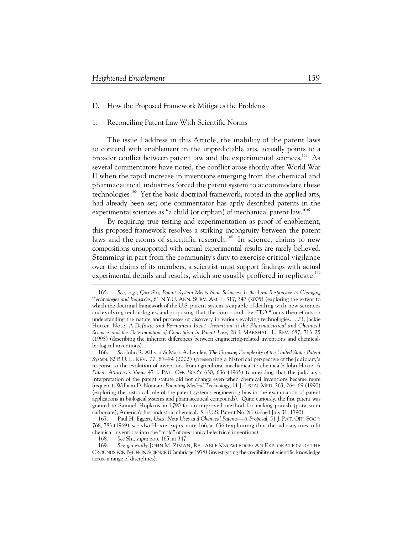-

# D. How the Proposed Framework Mitigates the Problems

### 1. Reconciling Patent Law With Scientific Norms

The issue I address in this Article, the inability of the patent laws to contend with enablement in the unpredictable arts, actually points to a broader conflict between patent law and the experimental sciences.<sup>165</sup> As several commentators have noted, the conflict arose shortly after World War II when the rapid increase in inventions emerging from the chemical and pharmaceutical industries forced the patent system to accommodate these technologies.<sup>166</sup> Yet the basic doctrinal framework, rooted in the applied arts, had already been set; one commentator has aptly described patents in the experimental sciences as "a child (or orphan) of mechanical patent law."<sup>167</sup>

By requiring true testing and experimentation as proof of enablement, this proposed framework resolves a striking incongruity between the patent laws and the norms of scientific research.<sup>168</sup> In science, claims to new compositions unsupported with actual experimental results are rarely believed. Stemming in part from the community's duty to exercise critical vigilance over the claims of its members, a scientist must support findings with actual experimental details and results, which are usually proffered in replicate.<sup>169</sup>

 <sup>165.</sup> *See, e.g.*, Qin Shi, *Patent System Meets New Sciences: Is the Law Responsive to Changing Technologies and Industries*, 61 N.Y.U. ANN. SURV. AM. L. 317, 347 (2005) (exploring the extent to which the doctrinal framework of the U.S. patent system is capable of dealing with new sciences and evolving technologies, and proposing that the courts and the PTO "focus their efforts on understanding the nature and processes of discovery in various evolving technologies. . . ."); Jackie Hutter, Note, *A Definite and Permanent Idea? Invention in the Pharmaceutical and Chemical Sciences and the Determination of Conception in Patent Law*, 28 J. MARSHALL L. REV. 687, 713–25 (1995) (describing the inherent differences between engineering-related inventions and chemicalbiological inventions).

 <sup>166.</sup> *See* John R. Allison & Mark A. Lemley, *The Growing Complexity of the United States Patent System*, 82 B.U. L. REV. 77, 87–94 (2002) (presenting a historical perspective of the judiciary's response to the evolution of inventions from agricultural-mechanical to chemical); John Hoxie, *A Patent Attorney's View*, 47 J. PAT. OFF. SOC'Y 630, 636 (1965) (contending that the judiciary's interpretation of the patent statute did not change even when chemical inventions became more frequent); William D. Noonan, *Patenting Medical Technology*, 11 J. LEGAL MED. 263, 264–69 (1990) (exploring the historical role of the patent system's engineering bias in the examination of patent applications in biological systems and pharmaceutical compounds). Quite curiously, the first patent was granted to Samuel Hopkins in 1790 for an improved method for making potash (potassium carbonate), America's first industrial chemical. *See* U.S. Patent No. X1 (issued July 31, 1790).

 <sup>167.</sup> Paul H. Eggert, *Uses, New Uses and Chemical Patents*—*A Proposal*, 51 J. PAT. OFF. SOC'Y 768, 783 (1969); *see also* Hoxie, *supra* note 166, at 636 (explaining that the judiciary tries to fit chemical inventions into the "mold" of mechanical-electrical inventions).

 <sup>168.</sup> *See* Shi, *supra* note 165, at 347.

 <sup>169.</sup> *See generally* JOHN M. ZIMAN, RELIABLE KNOWLEDGE: AN EXPLORATION OF THE GROUNDS FOR BELIEF IN SCIENCE (Cambridge 1978) (investigating the credibility of scientific knowledge across a range of disciplines).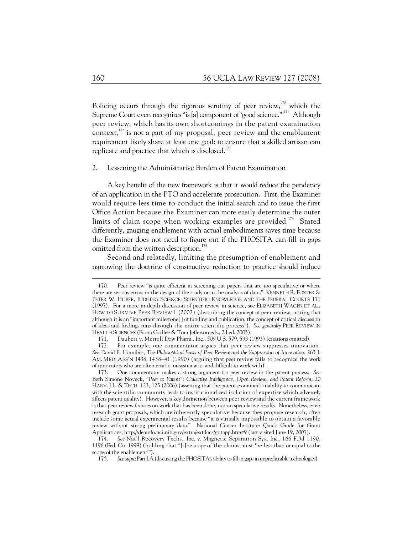Policing occurs through the rigorous scrutiny of peer review, $170$  which the Supreme Court even recognizes "is [a] component of 'good science."<sup>171</sup> Although peer review, which has its own shortcomings in the patent examination context, $^{172}$  is not a part of my proposal, peer review and the enablement requirement likely share at least one goal: to ensure that a skilled artisan can replicate and practice that which is disclosed. $173$ 

### 2. Lessening the Administrative Burden of Patent Examination

A key benefit of the new framework is that it would reduce the pendency of an application in the PTO and accelerate prosecution. First, the Examiner would require less time to conduct the initial search and to issue the first Office Action because the Examiner can more easily determine the outer limits of claim scope when working examples are provided.<sup>174</sup> Stated differently, gauging enablement with actual embodiments saves time because the Examiner does not need to figure out if the PHOSITA can fill in gaps omitted from the written description.<sup>175</sup>

Second and relatedly, limiting the presumption of enablement and narrowing the doctrine of constructive reduction to practice should induce

 <sup>170.</sup> Peer review "is quite efficient at screening out papers that are too speculative or where there are serious errors in the design of the study or in the analysis of data." KENNETH R. FOSTER & PETER W. HUBER, JUDGING SCIENCE: SCIENTIFIC KNOWLEDGE AND THE FEDERAL COURTS 171 (1997). For a more in-depth discussion of peer review in science, see ELIZABETH WAGER ET AL., HOW TO SURVIVE PEER REVIEW 1 (2002) (describing the concept of peer review, noting that although it is an "important milestone[ ] of funding and publication, the concept of critical discussion of ideas and findings runs through the entire scientific process"). *See generally* PEER REVIEW IN HEALTH SCIENCES (Fiona Godlee & Tom Jefferson eds., 2d ed. 2003).

 <sup>171.</sup> Daubert v. Merrell Dow Pharm., Inc., 509 U.S. 579, 593 (1993) (citations omitted).

 <sup>172.</sup> For example, one commentator argues that peer review suppresses innovation. *See* David F. Horrobin, *The Philosophical Basis of Peer Review and the Suppression of Innovation*, 263 J. AM. MED. ASS'N 1438, 1438–41 (1990) (arguing that peer review fails to recognize the work of innovators who are often erratic, unsystematic, and difficult to work with).

 <sup>173.</sup> One commentator makes a strong argument for peer review in the patent process. *See*  Beth Simone Noveck, *"Peer to Patent": Collective Intelligence, Open Review, and Patent Reform*, 20 HARV. J.L. & TECH. 123, 125 (2006) (asserting that the patent examiner's inability to communicate with the scientific community leads to institutionalized isolation of expertise which adversely affects patent quality). However, a key distinction between peer review and the current framework is that peer review focuses on work that has been done, not on speculative results. Nonetheless, even research grant proposals, which are inherently speculative because they propose research, often include some actual experimental results because "it is virtually impossible to obtain a favorable review without strong preliminary data." National Cancer Institute: Quick Guide for Grant Applications, http://deainfo.nci.nih.gov/extra/extdocs/gntapp.htm#9 (last visited June 19, 2007).

 <sup>174.</sup> *See* Nat'l Recovery Techs., Inc. v. Magnetic Separation Sys., Inc., 166 F.3d 1190, 1196 (Fed. Cir. 1999) (holding that "[t]he scope of the claims must 'be less than or equal to the scope of the enablement'").

 <sup>175.</sup> *See supra* Part I.A (discussing the PHOSITA's ability to fill in gaps in unpredictable technologies).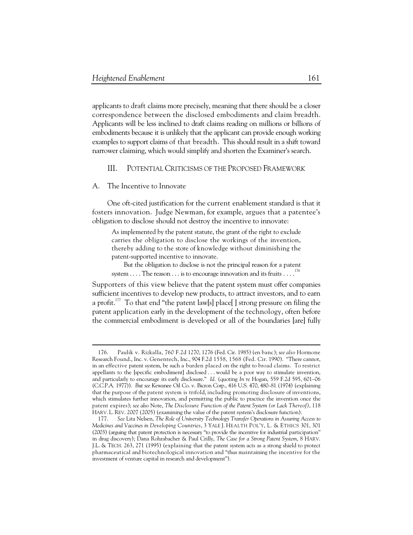applicants to draft claims more precisely, meaning that there should be a closer correspondence between the disclosed embodiments and claim breadth. Applicants will be less inclined to draft claims reading on millions or billions of embodiments because it is unlikely that the applicant can provide enough working examples to support claims of that breadth. This should result in a shift toward narrower claiming, which would simplify and shorten the Examiner's search.

# III. POTENTIAL CRITICISMS OF THE PROPOSED FRAMEWORK

### A. The Incentive to Innovate

 $\ddot{\phantom{a}}$ 

One oft-cited justification for the current enablement standard is that it fosters innovation. Judge Newman, for example, argues that a patentee's obligation to disclose should not destroy the incentive to innovate:

As implemented by the patent statute, the grant of the right to exclude carries the obligation to disclose the workings of the invention, thereby adding to the store of knowledge without diminishing the patent-supported incentive to innovate.

But the obligation to disclose is not the principal reason for a patent system  $\dots$  The reason  $\dots$  is to encourage innovation and its fruits  $\dots$ .<sup>176</sup>

Supporters of this view believe that the patent system must offer companies sufficient incentives to develop new products, to attract investors, and to earn a profit.<sup>177</sup> To that end "the patent law[s] place[] strong pressure on filing the patent application early in the development of the technology, often before the commercial embodiment is developed or all of the boundaries [are] fully

 <sup>176.</sup> Paulik v. Rizkalla, 760 F.2d 1270, 1276 (Fed. Cir. 1985) (en banc); *see also* Hormone Research Found., Inc. v. Genentech, Inc., 904 F.2d 1558, 1568 (Fed. Cir. 1990). "There cannot, in an effective patent system, be such a burden placed on the right to broad claims. To restrict appellants to the [specific embodiment] disclosed . . . would be a poor way to stimulate invention, and particularly to encourage its early disclosure." *Id.* (quoting *In re* Hogan, 559 F.2d 595, 601–06 (C.C.P.A. 1977)). *But see* Kewanee Oil Co. v. Bicron Corp., 416 U.S. 470, 480–81 (1974) (explaining that the purpose of the patent system is trifold, including promoting disclosure of inventions, which stimulates further innovation, and permitting the public to practice the invention once the patent expires); *see also* Note, *The Disclosure Function of the Patent System (or Lack Thereof)*, 118 HARV. L. REV. 2007 (2005) (examining the value of the patent system's disclosure function).

 <sup>177.</sup> *See* Lita Nelsen, *The Role of University Technology Transfer Operations in Assuring Access to Medicines and Vaccines in Developing Countries*, 3 YALE J. HEALTH POL'Y, L. & ETHICS 301, 301 (2003) (arguing that patent protection is necessary "to provide the incentive for industrial participation" in drug discovery); Dana Rohrabacher & Paul Crilly, *The Case for a Strong Patent System*, 8 HARV. J.L. & TECH. 263, 271 (1995) (explaining that the patent system acts as a strong shield to protect pharmaceutical and biotechnological innovation and "thus maintaining the incentive for the investment of venture capital in research and development").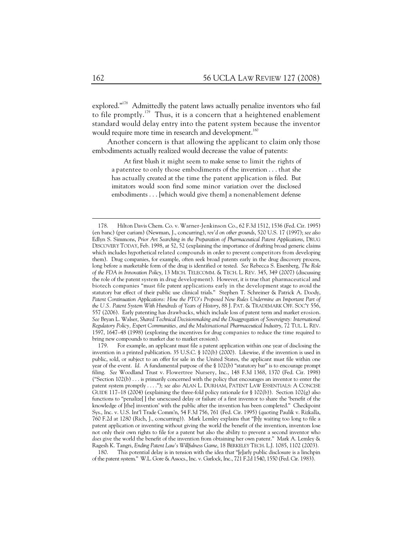explored."<sup>178</sup> Admittedly the patent laws actually penalize inventors who fail to file promptly.179 Thus, it is a concern that a heightened enablement standard would delay entry into the patent system because the inventor would require more time in research and development.<sup>180</sup>

Another concern is that allowing the applicant to claim only those embodiments actually realized would decrease the value of patents:

At first blush it might seem to make sense to limit the rights of a patentee to only those embodiments of the invention . . . that she has actually created at the time the patent application is filed. But imitators would soon find some minor variation over the disclosed embodiments . . . [which would give them] a nonenablement defense

 180. This potential delay is in tension with the idea that "[e]arly public disclosure is a linchpin of the patent system." W.L. Gore & Assocs., Inc. v. Garlock, Inc., 721 F.2d 1540, 1550 (Fed. Cir. 1983).

 <sup>178.</sup> Hilton Davis Chem. Co. v. Warner-Jenkinson Co., 62 F.3d 1512, 1536 (Fed. Cir. 1995) (en banc) (per curiam) (Newman, J., concurring), *rev'd on other grounds*, 520 U.S. 17 (1997); *see also*  Edlyn S. Simmons, *Prior Art Searching in the Preparation of Pharmaceutical Patent Applications*, DRUG DISCOVERY TODAY, Feb. 1998, at 52, 52 (explaining the importance of drafting broad generic claims which includes hypothetical related compounds in order to prevent competitors from developing them). Drug companies, for example, often seek broad patents early in the drug discovery process, long before a marketable form of the drug is identified or tested. *See* Rebecca S. Eisenberg, *The Role of the FDA in Innovation Policy*, 13 MICH. TELECOMM. & TECH. L. REV. 345, 349 (2007) (discussing the role of the patent system in drug development). However, it is true that pharmaceutical and biotech companies "must file patent applications early in the development stage to avoid the statutory bar effect of their public use clinical trials." Stephen T. Schreiner & Patrick A. Doody, Patent Continuation Applications: How the PTO's Proposed New Rules Undermine an Important Part of *the U.S. Patent System With Hundreds of Years of History*, 88 J. PAT. & TRADEMARK OFF. SOC'Y 556, 557 (2006). Early patenting has drawbacks, which include loss of patent term and market erosion. *See* Bryan L. Walser, *Shared Technical Decisionmaking and the Disaggregation of Sovereignty: International Regulatory Policy, Expert Communities, and the Multinational Pharmaceutical Industry*, 72 TUL. L. REV. 1597, 1647–48 (1998) (exploring the incentives for drug companies to reduce the time required to bring new compounds to market due to market erosion).

 <sup>179.</sup> For example, an applicant must file a patent application within one year of disclosing the invention in a printed publication. 35 U.S.C. § 102(b) (2000). Likewise, if the invention is used in public, sold, or subject to an offer for sale in the United States, the applicant must file within one year of the event. *Id.* A fundamental purpose of the § 102(b) "statutory bar" is to encourage prompt filing. *See* Woodland Trust v. Flowertree Nursery, Inc., 148 F.3d 1368, 1370 (Fed. Cir. 1998) ("Section 102(b) . . . is primarily concerned with the policy that encourages an inventor to enter the patent system promptly . . . ."); *see also* ALAN L. DURHAM, PATENT LAW ESSENTIALS: A CONCISE GUIDE 117–18 (2004) (explaining the three-fold policy rationale for § 102(b)). Section 102(g) also functions to "penalize[ ] the unexcused delay or failure of a first inventor to share the 'benefit of the knowledge of [the] invention' with the public after the invention has been completed." Checkpoint Sys., Inc. v. U.S. Int'l Trade Comm'n, 54 F.3d 756, 761 (Fed. Cir. 1995) (quoting Paulik v. Rizkalla, 760 F.2d at 1280 (Rich, J., concurring)). Mark Lemley explains that "[b]y waiting too long to file a patent application or inventing without giving the world the benefit of the invention, inventors lose not only their own rights to file for a patent but also the ability to prevent a second inventor who *does* give the world the benefit of the invention from obtaining her own patent." Mark A. Lemley & Ragesh K. Tangri, *Ending Patent Law's Willfulness Game*, 18 BERKELEY TECH. L.J. 1085, 1102 (2003).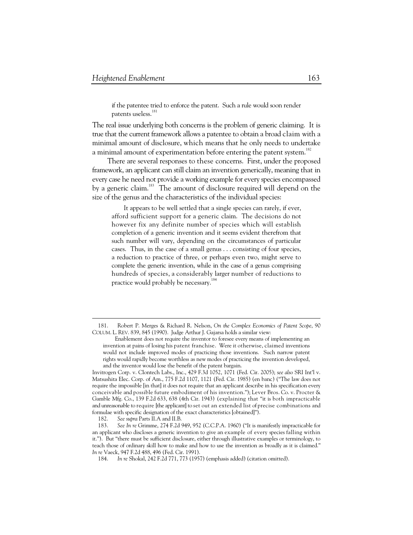if the patentee tried to enforce the patent. Such a rule would soon render patents useless.<sup>181</sup>

The real issue underlying both concerns is the problem of generic claiming. It is true that the current framework allows a patentee to obtain a broad claim with a minimal amount of disclosure, which means that he only needs to undertake a minimal amount of experimentation before entering the patent system.<sup>182</sup>

There are several responses to these concerns. First, under the proposed framework, an applicant can still claim an invention generically, meaning that in every case he need not provide a working example for every species encompassed by a generic claim.<sup>183</sup> The amount of disclosure required will depend on the size of the genus and the characteristics of the individual species:

It appears to be well settled that a single species can rarely, if ever, afford sufficient support for a generic claim. The decisions do not however fix any definite number of species which will establish completion of a generic invention and it seems evident therefrom that such number will vary, depending on the circumstances of particular cases. Thus, in the case of a small genus . . . consisting of four species, a reduction to practice of three, or perhaps even two, might serve to complete the generic invention, while in the case of a genus comprising hundreds of species, a considerably larger number of reductions to practice would probably be necessary.<sup>184</sup>

Invitrogen Corp. v. Clontech Labs., Inc., 429 F.3d 1052, 1071 (Fed. Cir. 2005); *see also* SRI Int'l v. Matsushita Elec. Corp. of Am., 775 F.2d 1107, 1121 (Fed. Cir. 1985) (en banc) ("The law does not require the impossible [in that] it does not require that an applicant describe in his specification every conceivable and possible future embodiment of his invention."); Lever Bros. Co. v. Procter & Gamble Mfg. Co., 139 F.2d 633, 638 (4th Cir. 1943) (explaining that "it is both impracticable and unreasonable to require [the applicant] to set out an extended list of precise combinations and formulae with specific designation of the exact characteristics [obtained]").

182. *See supra* Parts II.A and II.B.

 <sup>181.</sup> Robert P. Merges & Richard R. Nelson, *On the Complex Economics of Patent Scope*, 90 COLUM. L. REV. 839, 845 (1990). Judge Arthur J. Gajarsa holds a similar view:

Enablement does not require the inventor to foresee every means of implementing an invention at pains of losing his patent franchise. Were it otherwise, claimed inventions would not include improved modes of practicing those inventions. Such narrow patent rights would rapidly become worthless as new modes of practicing the invention developed, and the inventor would lose the benefit of the patent bargain.

 <sup>183.</sup> *See In re* Grimme, 274 F.2d 949, 952 (C.C.P.A. 1960) ("It is manifestly impracticable for an applicant who discloses a generic invention to give an example of every species falling within it."). But "there must be sufficient disclosure, either through illustrative examples or terminology, to teach those of ordinary skill how to make and how to use the invention as broadly as it is claimed." *In re* Vaeck, 947 F.2d 488, 496 (Fed. Cir. 1991).

 <sup>184.</sup> *In re* Shokal, 242 F.2d 771, 773 (1957) (emphasis added) (citation omitted).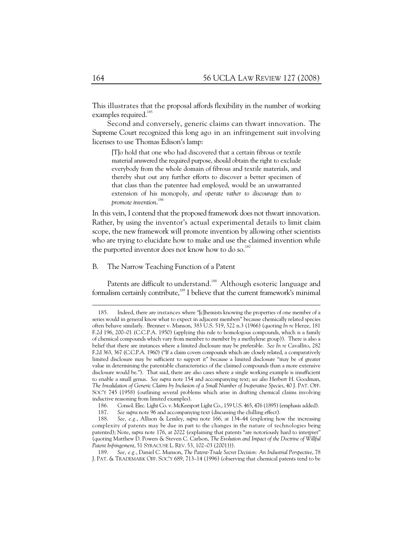This illustrates that the proposal affords flexibility in the number of working examples required.<sup>185</sup>

Second and conversely, generic claims can thwart innovation. The Supreme Court recognized this long ago in an infringement suit involving licenses to use Thomas Edison's lamp:

[T]o hold that one who had discovered that a certain fibrous or textile material answered the required purpose, should obtain the right to exclude everybody from the whole domain of fibrous and textile materials, and thereby shut out any further efforts to discover a better specimen of that class than the patentee had employed, would be an unwarranted extension of his monopoly, *and operate rather to discourage than to promote invention*. 186

In this vein, I contend that the proposed framework does not thwart innovation. Rather, by using the inventor's actual experimental details to limit claim scope, the new framework will promote invention by allowing other scientists who are trying to elucidate how to make and use the claimed invention while the purported inventor does not know how to do so.<sup>187</sup>

B. The Narrow Teaching Function of a Patent

Patents are difficult to understand.<sup>188</sup> Although esoteric language and formalism certainly contribute,<sup>189</sup> I believe that the current framework's minimal

 <sup>185.</sup> Indeed, there are instances where "[c]hemists knowing the properties of one member of a series would in general know what to expect in adjacent members" because chemically related species often behave similarly. Brenner v. Manson, 383 U.S. 519, 522 n.3 (1966) (quoting *In re* Henze, 181 F.2d 196, 200–01 (C.C.P.A. 1950) (applying this rule to homologous compounds, which is a family of chemical compounds which vary from member to member by a methylene group)). There is also a belief that there are instances where a limited disclosure may be preferable. *See In re* Cavallito, 282 F.2d 363, 367 (C.C.P.A. 1960) ("If a claim covers compounds which are closely related, a comparatively limited disclosure may be sufficient to support it" because a limited disclosure "may be of greater value in determining the patentable characteristics of the claimed compounds than a more extensive disclosure would be."). That said, there are also cases where a single working example is insufficient to enable a small genus. *See supra* note 154 and accompanying text; *see also* Herbert H. Goodman, *The Invalidation of Generic Claims by Inclusion of a Small Number of Inoperative Species*, 40 J. PAT. OFF. SOC'Y 745 (1958) (outlining several problems which arise in drafting chemical claims involving inductive reasoning from limited examples).

 <sup>186.</sup> Consol. Elec. Light Co. v. McKeesport Light Co., 159 U.S. 465, 476 (1895) (emphasis added).

 <sup>187.</sup> *See supra* note 96 and accompanying text (discussing the chilling effect).

 <sup>188.</sup> *See, e.g.*, Allison & Lemley, *supra* note 166, at 134–44 (exploring how the increasing complexity of patents may be due in part to the changes in the nature of technologies being patented); Note, *supra* note 176, at 2022 (explaining that patents "are notoriously hard to interpret" (quoting Matthew D. Powers & Steven C. Carlson, *The Evolution and Impact of the Doctrine of Willful Patent Infringement*, 51 SYRACUSE L. REV. 53, 102–03 (2001))).

 <sup>189.</sup> *See, e.g.*, Daniel C. Munson, *The Patent-Trade Secret Decision: An Industrial Perspective*, 78 J. PAT. & TRADEMARK OFF. SOC'Y 689, 713–14 (1996) (observing that chemical patents tend to be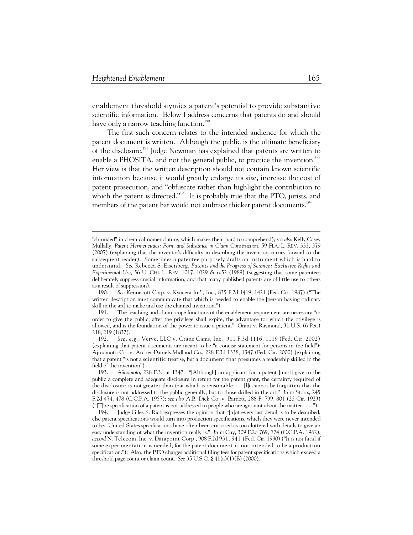-

enablement threshold stymies a patent's potential to provide substantive scientific information. Below I address concerns that patents do and should have only a narrow teaching function.<sup>190</sup>

The first such concern relates to the intended audience for which the patent document is written. Although the public is the ultimate beneficiary of the disclosure,<sup>191</sup> Judge Newman has explained that patents are written to enable a PHOSITA, and not the general public, to practice the invention.<sup>192</sup> Her view is that the written description should not contain known scientific information because it would greatly enlarge its size, increase the cost of patent prosecution, and "obfuscate rather than highlight the contribution to which the patent is directed."<sup>193</sup> It is probably true that the PTO, jurists, and members of the patent bar would not embrace thicker patent documents.<sup>194</sup>

<sup>&</sup>quot;shrouded" in chemical nomenclature, which makes them hard to comprehend); *see also* Kelly Casey Mullally, *Patent Hermeneutics: Form and Substance in Claim Construction*, 59 FLA. L. REV. 333, 379 (2007) (explaining that the inventor's difficulty in describing the invention carries forward to the subsequent reader). Sometimes a patentee purposely drafts an instrument which is hard to understand. *See* Rebecca S. Eisenberg, *Patents and the Progress of Science: Exclusive Rights and Experimental Use*, 56 U. CHI. L. REV. 1017, 1029 & n.52 (1989) (suggesting that some patentees deliberately suppress crucial information, and that many published patents are of little use to others as a result of suppression).

 <sup>190.</sup> *See* Kennecott Corp. v. Kyocera Int'l, Inc., 835 F.2d 1419, 1421 (Fed. Cir. 1987) ("The written description must communicate that which is needed to enable the [person having ordinary skill in the art] to make and use the claimed invention.").

 <sup>191.</sup> The teaching and claim scope functions of the enablement requirement are necessary "in order to give the public, after the privilege shall expire, the advantage for which the privilege is allowed, and is the foundation of the power to issue a patent." Grant v. Raymond, 31 U.S. (6 Pet.) 218, 219 (1832).

 <sup>192.</sup> *See, e.g.*, Verve, LLC v. Crane Cams, Inc., 311 F.3d 1116, 1119 (Fed. Cir. 2002) (explaining that patent documents are meant to be "a concise statement for persons in the field"); Ajinomoto Co. v. Archer-Daniels-Midland Co., 228 F.3d 1338, 1347 (Fed. Cir. 2000) (explaining that a patent "is not a scientific treatise, but a document that presumes a readership skilled in the field of the invention").

 <sup>193.</sup> *Ajinomoto*, 228 F.3d at 1347. "[Although] an applicant for a patent [must] give to the public a complete and adequate disclosure in return for the patent grant, the certainty required of the disclosure is not greater than that which is reasonable. . . . [I]t cannot be forgotten that the disclosure is not addressed to the public generally, but to those skilled in the art." *In re* Storrs, 245 F.2d 474, 478 (C.C.P.A. 1957); *see also* A.B. Dick Co. v. Barnett, 288 F. 799, 801 (2d Cir. 1923) ("[T]he specification of a patent is not addressed to people who are ignorant about the matter . . . .").

 <sup>194.</sup> Judge Giles S. Rich expresses the opinion that "[n]ot every last detail is to be described, else patent specifications would turn into production specifications, which they were never intended to be. United States specifications have often been criticized as too cluttered with details to give an easy understanding of what the invention really is." *In re* Gay, 309 F.2d 769, 774 (C.C.P.A. 1962); *accord* N. Telecom, Inc. v. Datapoint Corp., 908 F.2d 931, 941 (Fed. Cir. 1990) ("It is not fatal if some experimentation is needed, for the patent document is not intended to be a production specification."). Also, the PTO charges additional filing fees for patent specifications which exceed a threshold page count or claim count. *See* 35 U.S.C. § 41(a)(1)(B) (2000).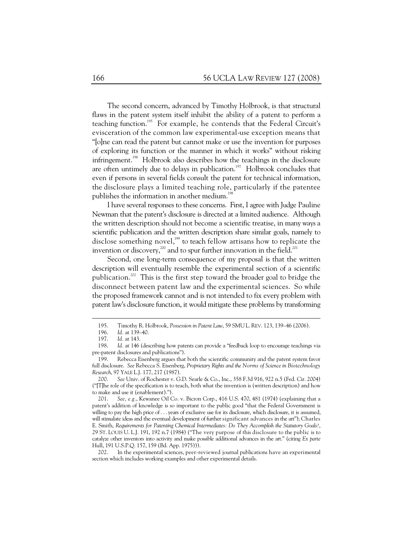The second concern, advanced by Timothy Holbrook, is that structural flaws in the patent system itself inhibit the ability of a patent to perform a teaching function.<sup>195</sup> For example, he contends that the Federal Circuit's evisceration of the common law experimental-use exception means that "[o]ne can read the patent but cannot make or use the invention for purposes of exploring its function or the manner in which it works" without risking infringement.196 Holbrook also describes how the teachings in the disclosure are often untimely due to delays in publication.<sup>197</sup> Holbrook concludes that even if persons in several fields consult the patent for technical information, the disclosure plays a limited teaching role, particularly if the patentee publishes the information in another medium.<sup>198</sup>

I have several responses to these concerns. First, I agree with Judge Pauline Newman that the patent's disclosure is directed at a limited audience. Although the written description should not become a scientific treatise, in many ways a scientific publication and the written description share similar goals, namely to disclose something novel, $199$  to teach fellow artisans how to replicate the invention or discovery, $^{200}$  and to spur further innovation in the field.<sup>201</sup>

Second, one long-term consequence of my proposal is that the written description will eventually resemble the experimental section of a scientific publication.<sup>202</sup> This is the first step toward the broader goal to bridge the disconnect between patent law and the experimental sciences. So while the proposed framework cannot and is not intended to fix every problem with patent law's disclosure function, it would mitigate these problems by transforming

 <sup>195.</sup> Timothy R. Holbrook, *Possession in Patent Law*, 59 SMU L. REV. 123, 139–46 (2006).

 <sup>196.</sup> *Id.* at 139–40.

 <sup>197.</sup> *Id.* at 143.

 <sup>198.</sup> *Id.* at 146 (describing how patents can provide a "feedback loop to encourage teachings via pre-patent disclosures and publications").

 <sup>199.</sup> Rebecca Eisenberg argues that both the scientific community and the patent system favor full disclosure. *See* Rebecca S. Eisenberg, *Proprietary Rights and the Norms of Science in Biotechnology Research*, 97 YALE L.J. 177, 217 (1987).

 <sup>200.</sup> *See* Univ. of Rochester v. G.D. Searle & Co., Inc., 358 F.3d 916, 922 n.5 (Fed. Cir. 2004) ("[T]he role of the specification is to teach, both what the invention is (written description) and how to make and use it (enablement).").

 <sup>201.</sup> *See, e.g.*, Kewanee Oil Co. v. Bicron Corp., 416 U.S. 470, 481 (1974) (explaining that a patent's addition of knowledge is so important to the public good "that the Federal Government is willing to pay the high price of . . . years of exclusive use for its disclosure, which disclosure, it is assumed, will stimulate ideas and the eventual development of further significant advances in the art"); Charles E. Smith, *Requirements for Patenting Chemical Intermediates: Do They Accomplish the Statutory Goals?*, 29 ST. LOUIS U. L.J. 191, 192 n.7 (1984) ("The very purpose of this disclosure to the public is to catalyze other inventors into activity and make possible additional advances in the art." (citing *Ex parte* Hull, 191 U.S.P.Q. 157, 159 (Bd. App. 1975))).

 <sup>202.</sup> In the experimental sciences, peer-reviewed journal publications have an experimental section which includes working examples and other experimental details.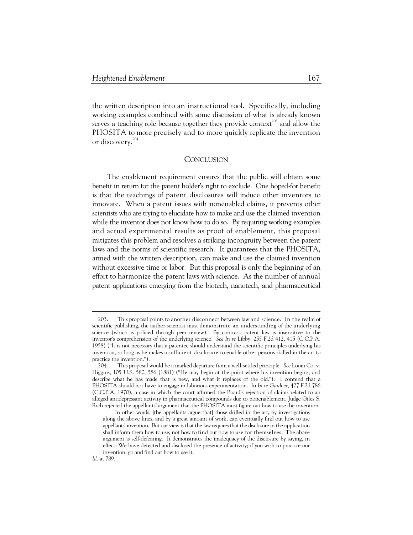the written description into an instructional tool. Specifically, including working examples combined with some discussion of what is already known serves a teaching role because together they provide context<sup>203</sup> and allow the PHOSITA to more precisely and to more quickly replicate the invention or discovery.<sup>204</sup>

# **CONCLUSION**

The enablement requirement ensures that the public will obtain some benefit in return for the patent holder's right to exclude. One hoped-for benefit is that the teachings of patent disclosures will induce other inventors to innovate. When a patent issues with nonenabled claims, it prevents other scientists who are trying to elucidate how to make and use the claimed invention while the inventor does not know how to do so. By requiring working examples and actual experimental results as proof of enablement, this proposal mitigates this problem and resolves a striking incongruity between the patent laws and the norms of scientific research. It guarantees that the PHOSITA, armed with the written description, can make and use the claimed invention without excessive time or labor. But this proposal is only the beginning of an effort to harmonize the patent laws with science. As the number of annual patent applications emerging from the biotech, nanotech, and pharmaceutical

 <sup>203.</sup> This proposal points to another disconnect between law and science. In the realm of scientific publishing, the author-scientist must demonstrate an understanding of the underlying science (which is policed through peer review). By contrast, patent law is insensitive to the inventor's comprehension of the underlying science. *See In re* Libby, 255 F.2d 412, 415 (C.C.P.A. 1958) ("It is not necessary that a patentee should understand the scientific principles underlying his invention, so long as he makes a sufficient disclosure to enable other persons skilled in the art to practice the invention.").

 <sup>204.</sup> This proposal would be a marked departure from a well-settled principle. *See* Loom Co. v. Higgins, 105 U.S. 580, 586 (1881) ("He may begin at the point where his invention begins, and describe what he has made that is new, and what it replaces of the old."). I contend that a PHOSITA should not have to engage in laborious experimentation. In *In re Gardner*, 427 F.2d 786 (C.C.P.A. 1970), a case in which the court affirmed the Board's rejection of claims related to an alleged antidepressant activity in pharmaceutical compounds due to nonenablement, Judge Giles S. Rich rejected the appellants' argument that the PHOSITA must figure out how to use the invention:

In other words, [the appellants argue that] those skilled in the art, by investigations along the above lines, and by a great amount of work, can eventually find out how to use appellants' invention. But our view is that the law requires that the disclosure in the application shall inform them how to use, not how to find out how to use for themselves. The above argument is self-defeating. It demonstrates the inadequacy of the disclosure by saying, in effect: We have detected and disclosed the presence of activity; if you wish to practice our invention, go and find out how to use it.

*Id.* at 789.